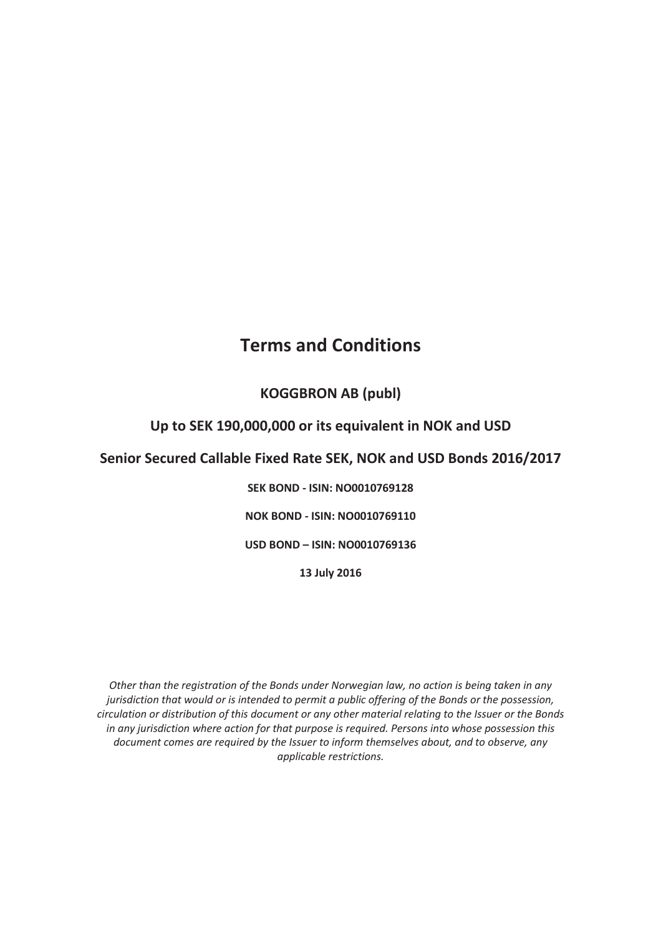# **Terms and Conditions**

# **KOGGBRON AB (publ)**

# **Up to SEK 190,000,000 or its equivalent in NOK and USD**

# **Senior Secured Callable Fixed Rate SEK, NOK and USD Bonds 2016/2017**

**SEK BOND - ISIN: NO0010769128** 

**NOK BOND - ISIN: NO0010769110** 

**USD BOND – ISIN: NO0010769136**

**13 July 2016** 

*Other than the registration of the Bonds under Norwegian law, no action is being taken in any jurisdiction that would or is intended to permit a public offering of the Bonds or the possession, circulation or distribution of this document or any other material relating to the Issuer or the Bonds in any jurisdiction where action for that purpose is required. Persons into whose possession this document comes are required by the Issuer to inform themselves about, and to observe, any applicable restrictions.*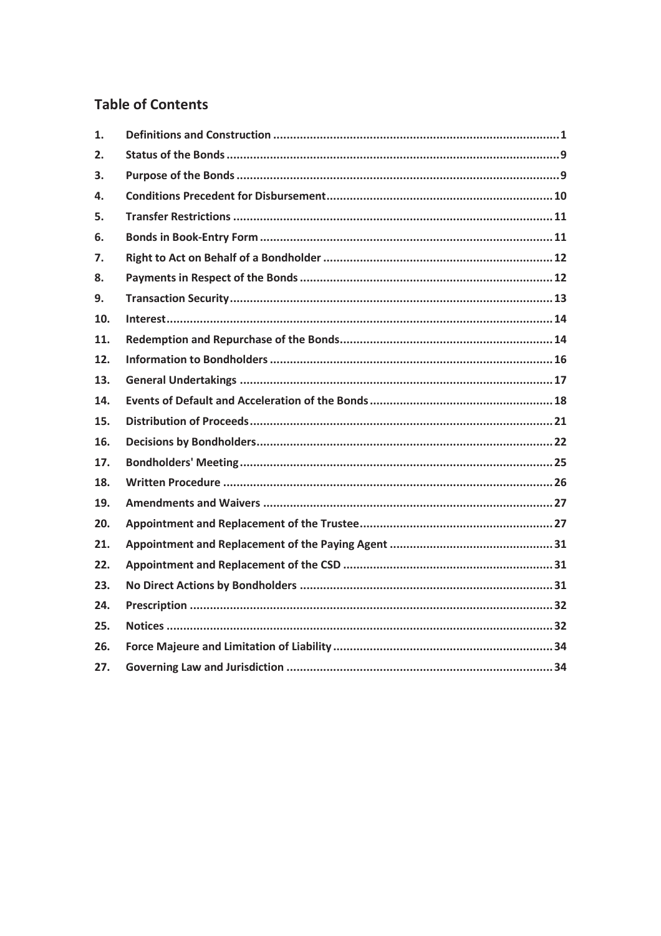# **Table of Contents**

| 1.  |  |
|-----|--|
| 2.  |  |
| 3.  |  |
| 4.  |  |
| 5.  |  |
| 6.  |  |
| 7.  |  |
| 8.  |  |
| 9.  |  |
| 10. |  |
| 11. |  |
| 12. |  |
| 13. |  |
| 14. |  |
| 15. |  |
| 16. |  |
| 17. |  |
| 18. |  |
| 19. |  |
| 20. |  |
| 21. |  |
| 22. |  |
| 23. |  |
| 24. |  |
| 25. |  |
| 26. |  |
| 27. |  |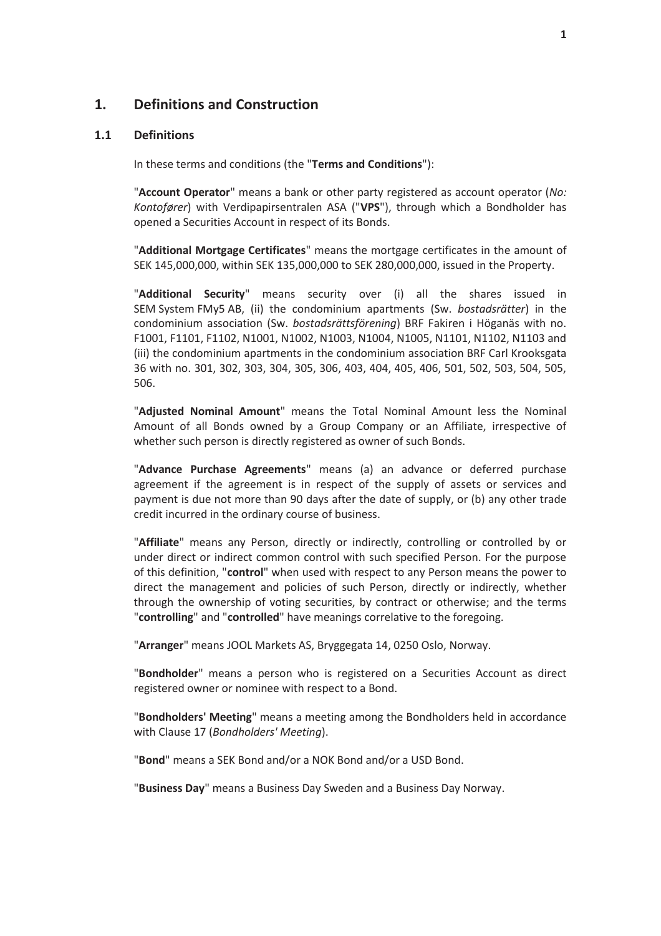### **1. Definitions and Construction**

#### **1.1 Definitions**

In these terms and conditions (the "**Terms and Conditions**"):

"**Account Operator**" means a bank or other party registered as account operator (*No: Kontofører*) with Verdipapirsentralen ASA ("**VPS**"), through which a Bondholder has opened a Securities Account in respect of its Bonds.

"**Additional Mortgage Certificates**" means the mortgage certificates in the amount of SEK 145,000,000, within SEK 135,000,000 to SEK 280,000,000, issued in the Property.

"**Additional Security**" means security over (i) all the shares issued in SEM System FMy5 AB, (ii) the condominium apartments (Sw. *bostadsrätter*) in the condominium association (Sw. *bostadsrättsförening*) BRF Fakiren i Höganäs with no. F1001, F1101, F1102, N1001, N1002, N1003, N1004, N1005, N1101, N1102, N1103 and (iii) the condominium apartments in the condominium association BRF Carl Krooksgata 36 with no. 301, 302, 303, 304, 305, 306, 403, 404, 405, 406, 501, 502, 503, 504, 505, 506.

"**Adjusted Nominal Amount**" means the Total Nominal Amount less the Nominal Amount of all Bonds owned by a Group Company or an Affiliate, irrespective of whether such person is directly registered as owner of such Bonds.

"**Advance Purchase Agreements**" means (a) an advance or deferred purchase agreement if the agreement is in respect of the supply of assets or services and payment is due not more than 90 days after the date of supply, or (b) any other trade credit incurred in the ordinary course of business.

"**Affiliate**" means any Person, directly or indirectly, controlling or controlled by or under direct or indirect common control with such specified Person. For the purpose of this definition, "**control**" when used with respect to any Person means the power to direct the management and policies of such Person, directly or indirectly, whether through the ownership of voting securities, by contract or otherwise; and the terms "**controlling**" and "**controlled**" have meanings correlative to the foregoing.

"**Arranger**" means JOOL Markets AS, Bryggegata 14, 0250 Oslo, Norway.

"**Bondholder**" means a person who is registered on a Securities Account as direct registered owner or nominee with respect to a Bond.

"**Bondholders' Meeting**" means a meeting among the Bondholders held in accordance with Clause 17 (*Bondholders' Meeting*).

"**Bond**" means a SEK Bond and/or a NOK Bond and/or a USD Bond.

"**Business Day**" means a Business Day Sweden and a Business Day Norway.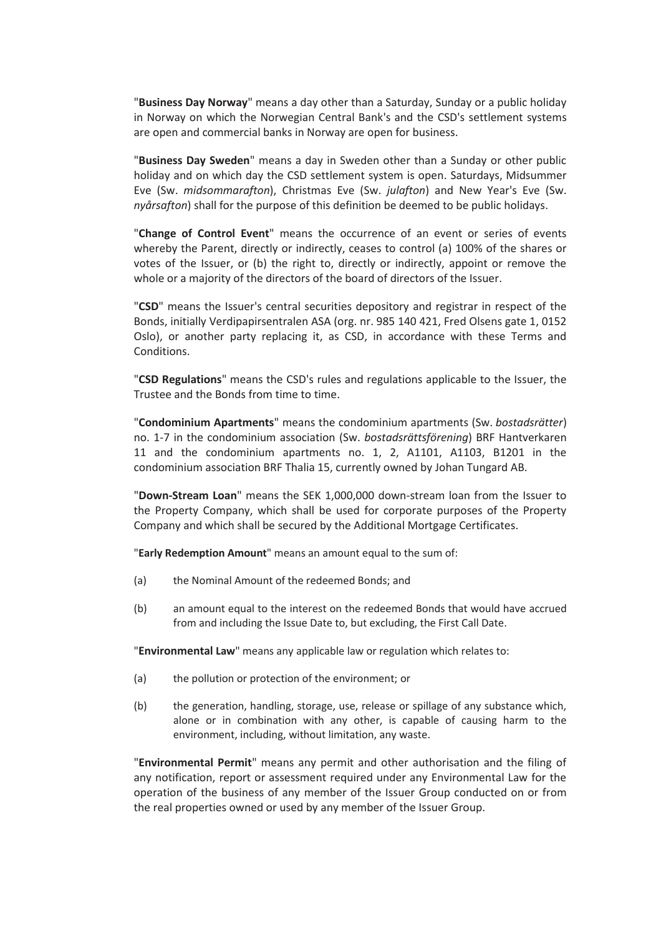"**Business Day Norway**" means a day other than a Saturday, Sunday or a public holiday in Norway on which the Norwegian Central Bank's and the CSD's settlement systems are open and commercial banks in Norway are open for business.

"**Business Day Sweden**" means a day in Sweden other than a Sunday or other public holiday and on which day the CSD settlement system is open. Saturdays, Midsummer Eve (Sw. *midsommarafton*), Christmas Eve (Sw. *julafton*) and New Year's Eve (Sw. *nyårsafton*) shall for the purpose of this definition be deemed to be public holidays.

"**Change of Control Event**" means the occurrence of an event or series of events whereby the Parent, directly or indirectly, ceases to control (a) 100% of the shares or votes of the Issuer, or (b) the right to, directly or indirectly, appoint or remove the whole or a majority of the directors of the board of directors of the Issuer.

"**CSD**" means the Issuer's central securities depository and registrar in respect of the Bonds, initially Verdipapirsentralen ASA (org. nr. 985 140 421, Fred Olsens gate 1, 0152 Oslo), or another party replacing it, as CSD, in accordance with these Terms and Conditions.

"**CSD Regulations**" means the CSD's rules and regulations applicable to the Issuer, the Trustee and the Bonds from time to time.

"**Condominium Apartments**" means the condominium apartments (Sw. *bostadsrätter*) no. 1-7 in the condominium association (Sw. *bostadsrättsförening*) BRF Hantverkaren 11 and the condominium apartments no. 1, 2, A1101, A1103, B1201 in the condominium association BRF Thalia 15, currently owned by Johan Tungard AB.

"**Down-Stream Loan**" means the SEK 1,000,000 down-stream loan from the Issuer to the Property Company, which shall be used for corporate purposes of the Property Company and which shall be secured by the Additional Mortgage Certificates.

"**Early Redemption Amount**" means an amount equal to the sum of:

- (a) the Nominal Amount of the redeemed Bonds; and
- (b) an amount equal to the interest on the redeemed Bonds that would have accrued from and including the Issue Date to, but excluding, the First Call Date.

"**Environmental Law**" means any applicable law or regulation which relates to:

- (a) the pollution or protection of the environment; or
- (b) the generation, handling, storage, use, release or spillage of any substance which, alone or in combination with any other, is capable of causing harm to the environment, including, without limitation, any waste.

"**Environmental Permit**" means any permit and other authorisation and the filing of any notification, report or assessment required under any Environmental Law for the operation of the business of any member of the Issuer Group conducted on or from the real properties owned or used by any member of the Issuer Group.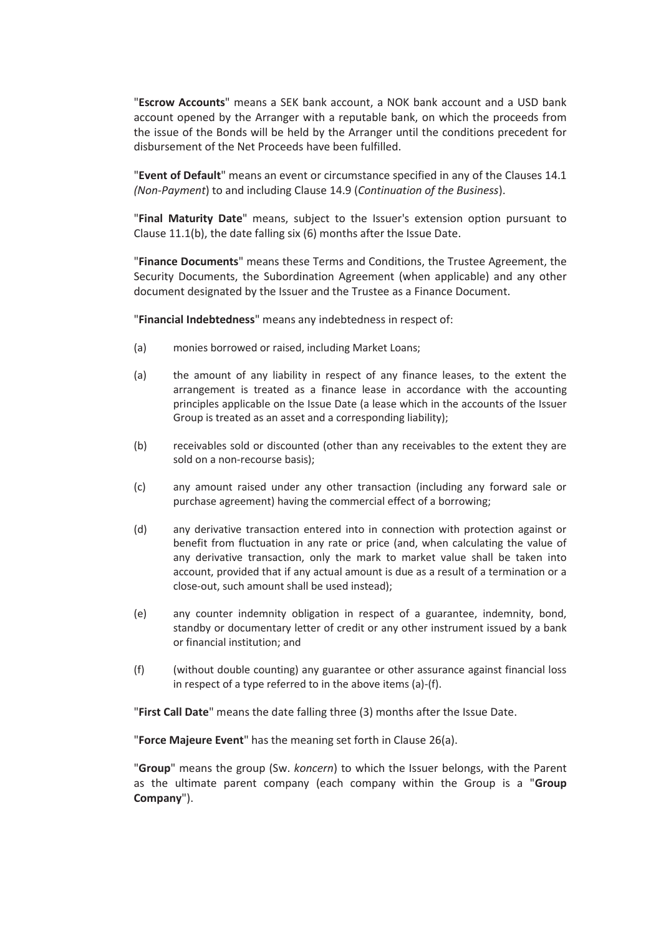"**Escrow Accounts**" means a SEK bank account, a NOK bank account and a USD bank account opened by the Arranger with a reputable bank, on which the proceeds from the issue of the Bonds will be held by the Arranger until the conditions precedent for disbursement of the Net Proceeds have been fulfilled.

"**Event of Default**" means an event or circumstance specified in any of the Clauses 14.1 *(Non-Payment*) to and including Clause 14.9 (*Continuation of the Business*).

"**Final Maturity Date**" means, subject to the Issuer's extension option pursuant to Clause 11.1(b), the date falling six (6) months after the Issue Date.

"**Finance Documents**" means these Terms and Conditions, the Trustee Agreement, the Security Documents, the Subordination Agreement (when applicable) and any other document designated by the Issuer and the Trustee as a Finance Document.

"**Financial Indebtedness**" means any indebtedness in respect of:

- (a) monies borrowed or raised, including Market Loans;
- (a) the amount of any liability in respect of any finance leases, to the extent the arrangement is treated as a finance lease in accordance with the accounting principles applicable on the Issue Date (a lease which in the accounts of the Issuer Group is treated as an asset and a corresponding liability);
- (b) receivables sold or discounted (other than any receivables to the extent they are sold on a non-recourse basis);
- (c) any amount raised under any other transaction (including any forward sale or purchase agreement) having the commercial effect of a borrowing;
- (d) any derivative transaction entered into in connection with protection against or benefit from fluctuation in any rate or price (and, when calculating the value of any derivative transaction, only the mark to market value shall be taken into account, provided that if any actual amount is due as a result of a termination or a close-out, such amount shall be used instead);
- (e) any counter indemnity obligation in respect of a guarantee, indemnity, bond, standby or documentary letter of credit or any other instrument issued by a bank or financial institution; and
- (f) (without double counting) any guarantee or other assurance against financial loss in respect of a type referred to in the above items (a)-(f).

"**First Call Date**" means the date falling three (3) months after the Issue Date.

"**Force Majeure Event**" has the meaning set forth in Clause 26(a).

"**Group**" means the group (Sw. *koncern*) to which the Issuer belongs, with the Parent as the ultimate parent company (each company within the Group is a "**Group Company**").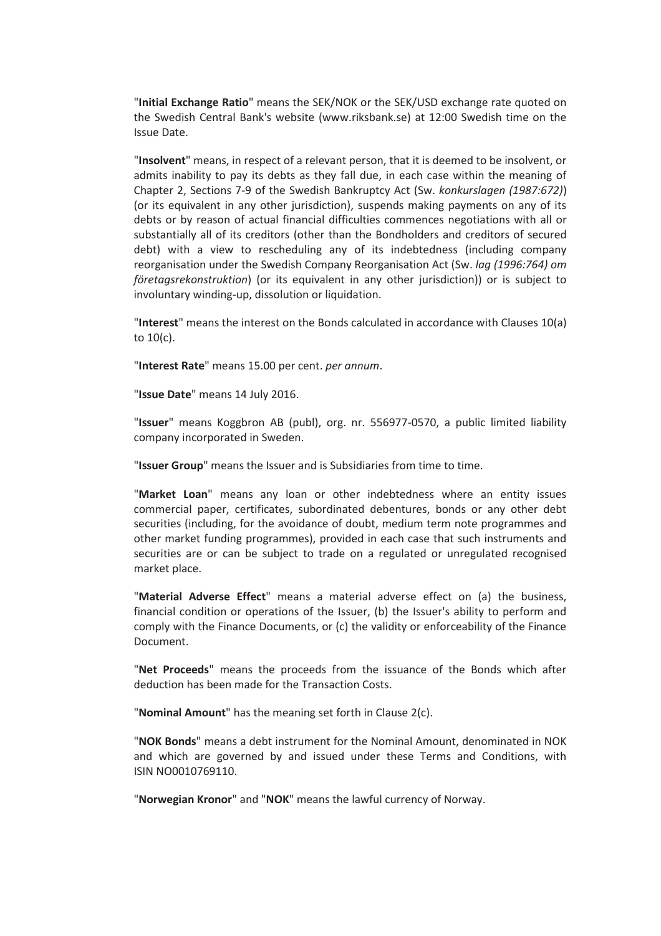"**Initial Exchange Ratio**" means the SEK/NOK or the SEK/USD exchange rate quoted on the Swedish Central Bank's website (www.riksbank.se) at 12:00 Swedish time on the Issue Date.

"**Insolvent**" means, in respect of a relevant person, that it is deemed to be insolvent, or admits inability to pay its debts as they fall due, in each case within the meaning of Chapter 2, Sections 7-9 of the Swedish Bankruptcy Act (Sw. *konkurslagen (1987:672)*) (or its equivalent in any other jurisdiction), suspends making payments on any of its debts or by reason of actual financial difficulties commences negotiations with all or substantially all of its creditors (other than the Bondholders and creditors of secured debt) with a view to rescheduling any of its indebtedness (including company reorganisation under the Swedish Company Reorganisation Act (Sw. *lag (1996:764) om företagsrekonstruktion*) (or its equivalent in any other jurisdiction)) or is subject to involuntary winding-up, dissolution or liquidation.

"**Interest**" means the interest on the Bonds calculated in accordance with Clauses 10(a) to 10(c).

"**Interest Rate**" means 15.00 per cent. *per annum*.

"**Issue Date**" means 14 July 2016.

"**Issuer**" means Koggbron AB (publ), org. nr. 556977-0570, a public limited liability company incorporated in Sweden.

"**Issuer Group**" means the Issuer and is Subsidiaries from time to time.

"**Market Loan**" means any loan or other indebtedness where an entity issues commercial paper, certificates, subordinated debentures, bonds or any other debt securities (including, for the avoidance of doubt, medium term note programmes and other market funding programmes), provided in each case that such instruments and securities are or can be subject to trade on a regulated or unregulated recognised market place.

"**Material Adverse Effect**" means a material adverse effect on (a) the business, financial condition or operations of the Issuer, (b) the Issuer's ability to perform and comply with the Finance Documents, or (c) the validity or enforceability of the Finance Document.

"**Net Proceeds**" means the proceeds from the issuance of the Bonds which after deduction has been made for the Transaction Costs.

"**Nominal Amount**" has the meaning set forth in Clause 2(c).

"**NOK Bonds**" means a debt instrument for the Nominal Amount, denominated in NOK and which are governed by and issued under these Terms and Conditions, with ISIN NO0010769110.

"**Norwegian Kronor**" and "**NOK**" means the lawful currency of Norway.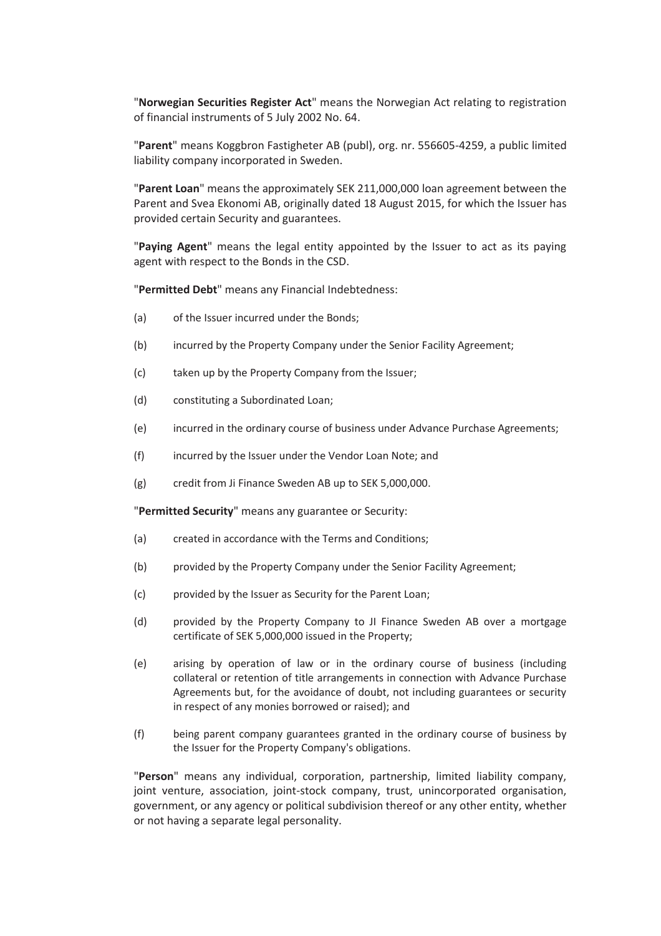"**Norwegian Securities Register Act**" means the Norwegian Act relating to registration of financial instruments of 5 July 2002 No. 64.

"**Parent**" means Koggbron Fastigheter AB (publ), org. nr. 556605-4259, a public limited liability company incorporated in Sweden.

"**Parent Loan**" means the approximately SEK 211,000,000 loan agreement between the Parent and Svea Ekonomi AB, originally dated 18 August 2015, for which the Issuer has provided certain Security and guarantees.

"**Paying Agent**" means the legal entity appointed by the Issuer to act as its paying agent with respect to the Bonds in the CSD.

"**Permitted Debt**" means any Financial Indebtedness:

- (a) of the Issuer incurred under the Bonds;
- (b) incurred by the Property Company under the Senior Facility Agreement;
- (c) taken up by the Property Company from the Issuer;
- (d) constituting a Subordinated Loan;
- (e) incurred in the ordinary course of business under Advance Purchase Agreements;
- (f) incurred by the Issuer under the Vendor Loan Note; and
- (g) credit from Ji Finance Sweden AB up to SEK 5,000,000.

"**Permitted Security**" means any guarantee or Security:

- (a) created in accordance with the Terms and Conditions;
- (b) provided by the Property Company under the Senior Facility Agreement;
- (c) provided by the Issuer as Security for the Parent Loan;
- (d) provided by the Property Company to JI Finance Sweden AB over a mortgage certificate of SEK 5,000,000 issued in the Property;
- (e) arising by operation of law or in the ordinary course of business (including collateral or retention of title arrangements in connection with Advance Purchase Agreements but, for the avoidance of doubt, not including guarantees or security in respect of any monies borrowed or raised); and
- (f) being parent company guarantees granted in the ordinary course of business by the Issuer for the Property Company's obligations.

"**Person**" means any individual, corporation, partnership, limited liability company, joint venture, association, joint-stock company, trust, unincorporated organisation, government, or any agency or political subdivision thereof or any other entity, whether or not having a separate legal personality.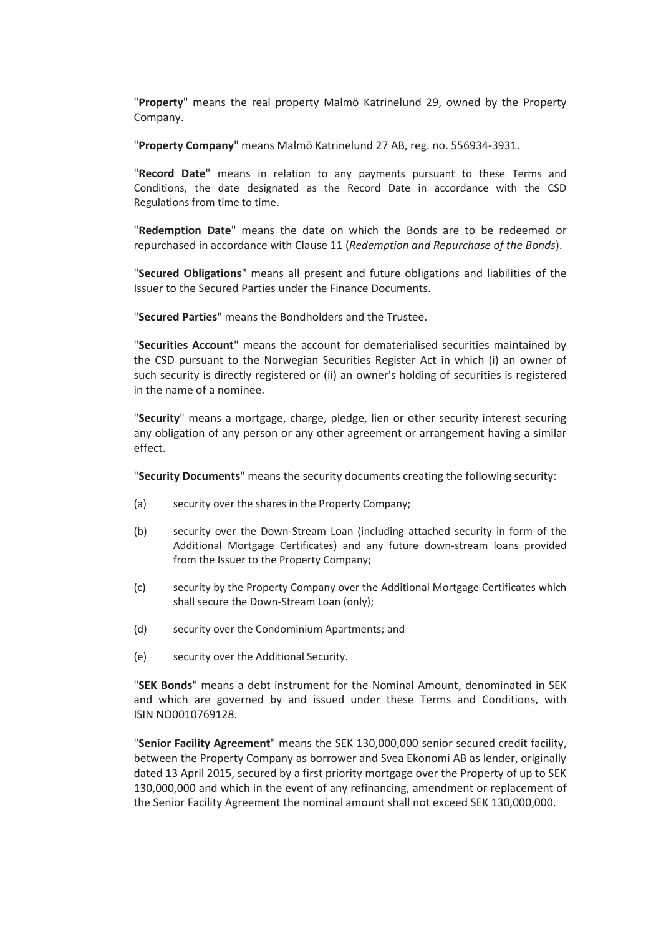"**Property**" means the real property Malmö Katrinelund 29, owned by the Property Company.

"**Property Company**" means Malmö Katrinelund 27 AB, reg. no. 556934-3931.

"**Record Date**" means in relation to any payments pursuant to these Terms and Conditions, the date designated as the Record Date in accordance with the CSD Regulations from time to time.

"**Redemption Date**" means the date on which the Bonds are to be redeemed or repurchased in accordance with Clause 11 (*Redemption and Repurchase of the Bonds*).

"**Secured Obligations**" means all present and future obligations and liabilities of the Issuer to the Secured Parties under the Finance Documents.

"**Secured Parties**" means the Bondholders and the Trustee.

"**Securities Account**" means the account for dematerialised securities maintained by the CSD pursuant to the Norwegian Securities Register Act in which (i) an owner of such security is directly registered or (ii) an owner's holding of securities is registered in the name of a nominee.

"**Security**" means a mortgage, charge, pledge, lien or other security interest securing any obligation of any person or any other agreement or arrangement having a similar effect.

"**Security Documents**" means the security documents creating the following security:

- (a) security over the shares in the Property Company;
- (b) security over the Down-Stream Loan (including attached security in form of the Additional Mortgage Certificates) and any future down-stream loans provided from the Issuer to the Property Company;
- (c) security by the Property Company over the Additional Mortgage Certificates which shall secure the Down-Stream Loan (only);
- (d) security over the Condominium Apartments; and
- (e) security over the Additional Security.

"**SEK Bonds**" means a debt instrument for the Nominal Amount, denominated in SEK and which are governed by and issued under these Terms and Conditions, with ISIN NO0010769128.

"**Senior Facility Agreement**" means the SEK 130,000,000 senior secured credit facility, between the Property Company as borrower and Svea Ekonomi AB as lender, originally dated 13 April 2015, secured by a first priority mortgage over the Property of up to SEK 130,000,000 and which in the event of any refinancing, amendment or replacement of the Senior Facility Agreement the nominal amount shall not exceed SEK 130,000,000.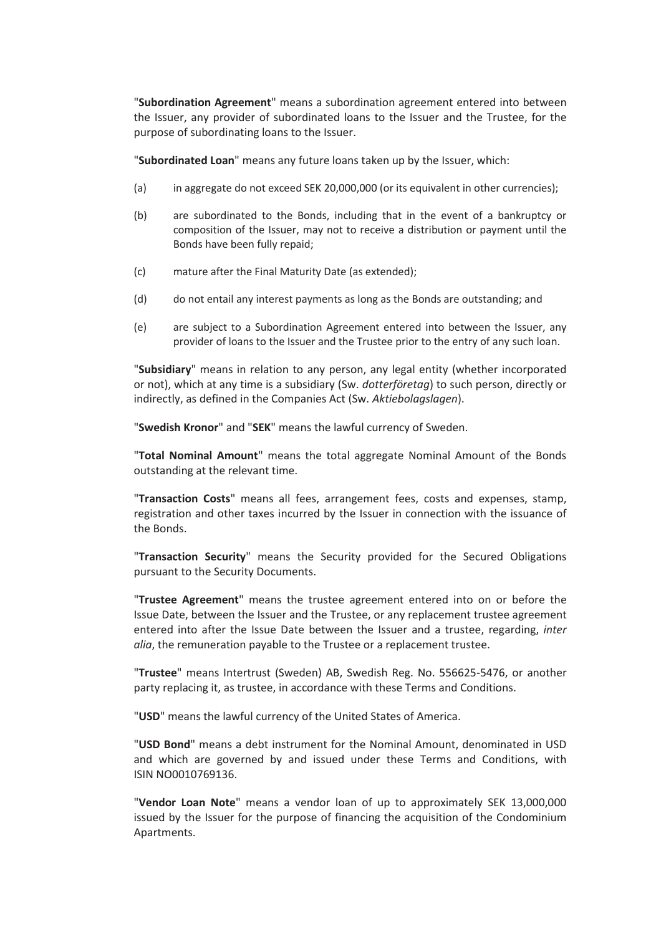"**Subordination Agreement**" means a subordination agreement entered into between the Issuer, any provider of subordinated loans to the Issuer and the Trustee, for the purpose of subordinating loans to the Issuer.

"**Subordinated Loan**" means any future loans taken up by the Issuer, which:

- (a) in aggregate do not exceed SEK 20,000,000 (or its equivalent in other currencies);
- (b) are subordinated to the Bonds, including that in the event of a bankruptcy or composition of the Issuer, may not to receive a distribution or payment until the Bonds have been fully repaid;
- (c) mature after the Final Maturity Date (as extended);
- (d) do not entail any interest payments as long as the Bonds are outstanding; and
- (e) are subject to a Subordination Agreement entered into between the Issuer, any provider of loans to the Issuer and the Trustee prior to the entry of any such loan.

"**Subsidiary**" means in relation to any person, any legal entity (whether incorporated or not), which at any time is a subsidiary (Sw. *dotterföretag*) to such person, directly or indirectly, as defined in the Companies Act (Sw. *Aktiebolagslagen*).

"**Swedish Kronor**" and "**SEK**" means the lawful currency of Sweden.

"**Total Nominal Amount**" means the total aggregate Nominal Amount of the Bonds outstanding at the relevant time.

"**Transaction Costs**" means all fees, arrangement fees, costs and expenses, stamp, registration and other taxes incurred by the Issuer in connection with the issuance of the Bonds.

"**Transaction Security**" means the Security provided for the Secured Obligations pursuant to the Security Documents.

"**Trustee Agreement**" means the trustee agreement entered into on or before the Issue Date, between the Issuer and the Trustee, or any replacement trustee agreement entered into after the Issue Date between the Issuer and a trustee, regarding, *inter alia*, the remuneration payable to the Trustee or a replacement trustee.

"**Trustee**" means Intertrust (Sweden) AB, Swedish Reg. No. 556625-5476, or another party replacing it, as trustee, in accordance with these Terms and Conditions.

"**USD**" means the lawful currency of the United States of America.

"**USD Bond**" means a debt instrument for the Nominal Amount, denominated in USD and which are governed by and issued under these Terms and Conditions, with ISIN NO0010769136.

"**Vendor Loan Note**" means a vendor loan of up to approximately SEK 13,000,000 issued by the Issuer for the purpose of financing the acquisition of the Condominium Apartments.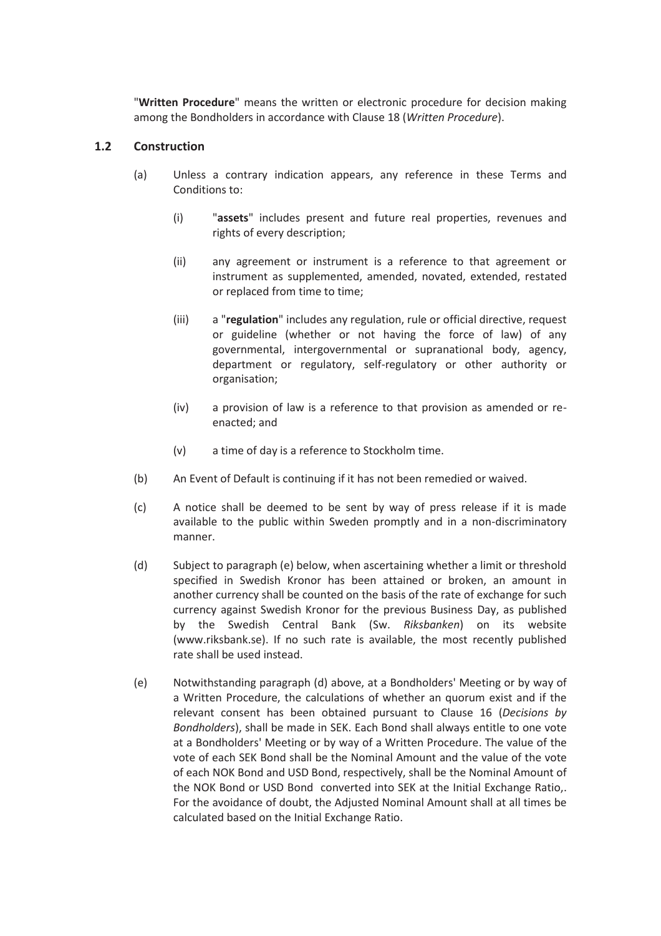"**Written Procedure**" means the written or electronic procedure for decision making among the Bondholders in accordance with Clause 18 (*Written Procedure*).

#### **1.2 Construction**

- (a) Unless a contrary indication appears, any reference in these Terms and Conditions to:
	- (i) "**assets**" includes present and future real properties, revenues and rights of every description;
	- (ii) any agreement or instrument is a reference to that agreement or instrument as supplemented, amended, novated, extended, restated or replaced from time to time;
	- (iii) a "**regulation**" includes any regulation, rule or official directive, request or guideline (whether or not having the force of law) of any governmental, intergovernmental or supranational body, agency, department or regulatory, self-regulatory or other authority or organisation;
	- (iv) a provision of law is a reference to that provision as amended or reenacted; and
	- (v) a time of day is a reference to Stockholm time.
- (b) An Event of Default is continuing if it has not been remedied or waived.
- (c) A notice shall be deemed to be sent by way of press release if it is made available to the public within Sweden promptly and in a non-discriminatory manner.
- (d) Subject to paragraph (e) below, when ascertaining whether a limit or threshold specified in Swedish Kronor has been attained or broken, an amount in another currency shall be counted on the basis of the rate of exchange for such currency against Swedish Kronor for the previous Business Day, as published by the Swedish Central Bank (Sw. *Riksbanken*) on its website (www.riksbank.se). If no such rate is available, the most recently published rate shall be used instead.
- (e) Notwithstanding paragraph (d) above, at a Bondholders' Meeting or by way of a Written Procedure, the calculations of whether an quorum exist and if the relevant consent has been obtained pursuant to Clause 16 (*Decisions by Bondholders*), shall be made in SEK. Each Bond shall always entitle to one vote at a Bondholders' Meeting or by way of a Written Procedure. The value of the vote of each SEK Bond shall be the Nominal Amount and the value of the vote of each NOK Bond and USD Bond, respectively, shall be the Nominal Amount of the NOK Bond or USD Bond converted into SEK at the Initial Exchange Ratio,. For the avoidance of doubt, the Adjusted Nominal Amount shall at all times be calculated based on the Initial Exchange Ratio.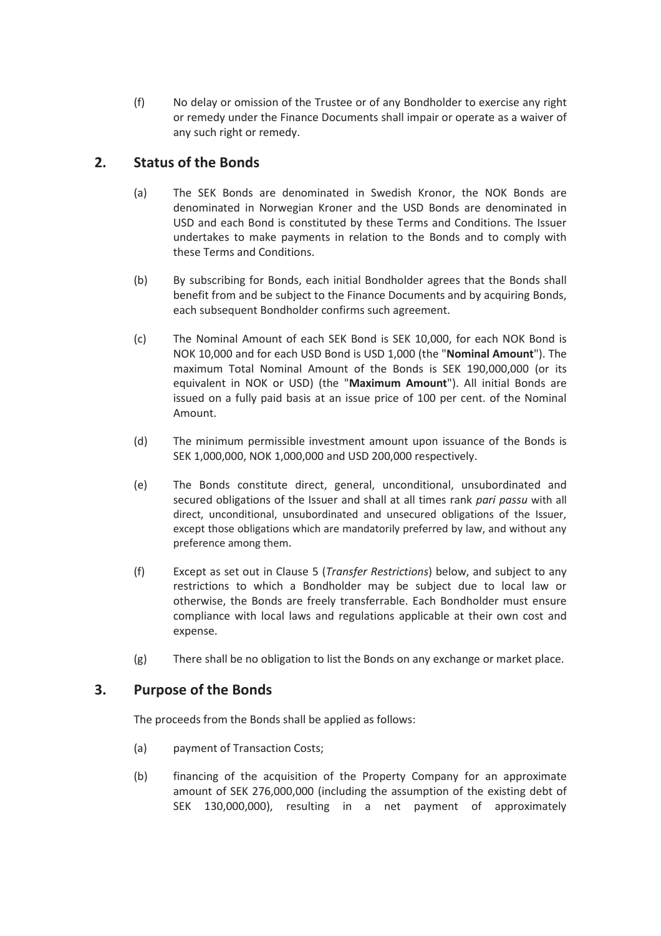(f) No delay or omission of the Trustee or of any Bondholder to exercise any right or remedy under the Finance Documents shall impair or operate as a waiver of any such right or remedy.

# **2. Status of the Bonds**

- (a) The SEK Bonds are denominated in Swedish Kronor, the NOK Bonds are denominated in Norwegian Kroner and the USD Bonds are denominated in USD and each Bond is constituted by these Terms and Conditions. The Issuer undertakes to make payments in relation to the Bonds and to comply with these Terms and Conditions.
- (b) By subscribing for Bonds, each initial Bondholder agrees that the Bonds shall benefit from and be subject to the Finance Documents and by acquiring Bonds, each subsequent Bondholder confirms such agreement.
- (c) The Nominal Amount of each SEK Bond is SEK 10,000, for each NOK Bond is NOK 10,000 and for each USD Bond is USD 1,000 (the "**Nominal Amount**"). The maximum Total Nominal Amount of the Bonds is SEK 190,000,000 (or its equivalent in NOK or USD) (the "**Maximum Amount**"). All initial Bonds are issued on a fully paid basis at an issue price of 100 per cent. of the Nominal Amount.
- (d) The minimum permissible investment amount upon issuance of the Bonds is SEK 1,000,000, NOK 1,000,000 and USD 200,000 respectively.
- (e) The Bonds constitute direct, general, unconditional, unsubordinated and secured obligations of the Issuer and shall at all times rank *pari passu* with all direct, unconditional, unsubordinated and unsecured obligations of the Issuer, except those obligations which are mandatorily preferred by law, and without any preference among them.
- (f) Except as set out in Clause 5 (*Transfer Restrictions*) below, and subject to any restrictions to which a Bondholder may be subject due to local law or otherwise, the Bonds are freely transferrable. Each Bondholder must ensure compliance with local laws and regulations applicable at their own cost and expense.
- (g) There shall be no obligation to list the Bonds on any exchange or market place.

## **3. Purpose of the Bonds**

The proceeds from the Bonds shall be applied as follows:

- (a) payment of Transaction Costs;
- (b) financing of the acquisition of the Property Company for an approximate amount of SEK 276,000,000 (including the assumption of the existing debt of SEK 130,000,000), resulting in a net payment of approximately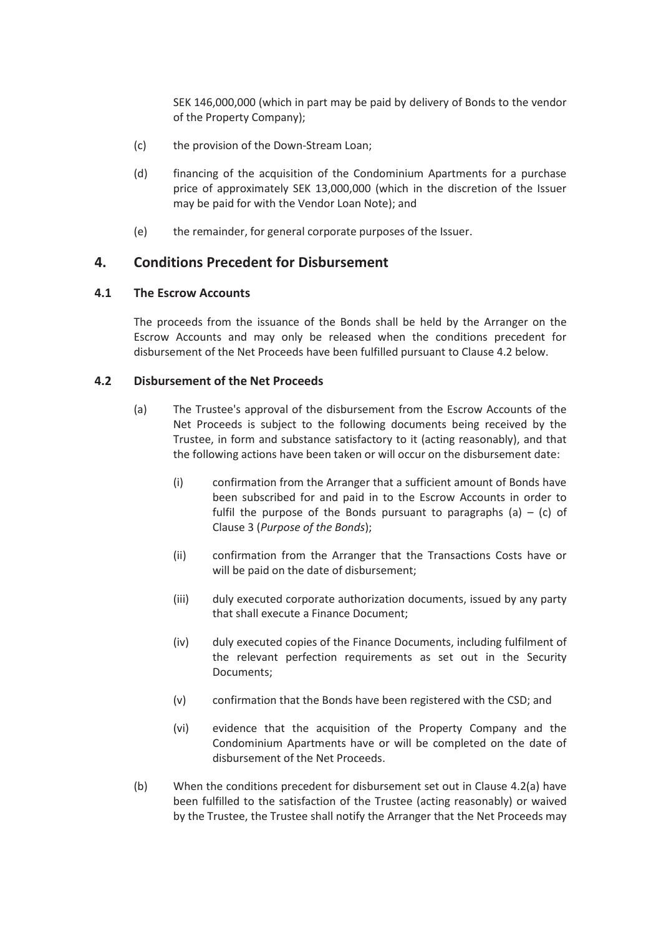SEK 146,000,000 (which in part may be paid by delivery of Bonds to the vendor of the Property Company);

- (c) the provision of the Down-Stream Loan;
- (d) financing of the acquisition of the Condominium Apartments for a purchase price of approximately SEK 13,000,000 (which in the discretion of the Issuer may be paid for with the Vendor Loan Note); and
- (e) the remainder, for general corporate purposes of the Issuer.

## **4. Conditions Precedent for Disbursement**

#### **4.1 The Escrow Accounts**

The proceeds from the issuance of the Bonds shall be held by the Arranger on the Escrow Accounts and may only be released when the conditions precedent for disbursement of the Net Proceeds have been fulfilled pursuant to Clause 4.2 below.

#### **4.2 Disbursement of the Net Proceeds**

- (a) The Trustee's approval of the disbursement from the Escrow Accounts of the Net Proceeds is subject to the following documents being received by the Trustee, in form and substance satisfactory to it (acting reasonably), and that the following actions have been taken or will occur on the disbursement date:
	- (i) confirmation from the Arranger that a sufficient amount of Bonds have been subscribed for and paid in to the Escrow Accounts in order to fulfil the purpose of the Bonds pursuant to paragraphs (a)  $-$  (c) of Clause 3 (*Purpose of the Bonds*);
	- (ii) confirmation from the Arranger that the Transactions Costs have or will be paid on the date of disbursement;
	- (iii) duly executed corporate authorization documents, issued by any party that shall execute a Finance Document;
	- (iv) duly executed copies of the Finance Documents, including fulfilment of the relevant perfection requirements as set out in the Security Documents;
	- (v) confirmation that the Bonds have been registered with the CSD; and
	- (vi) evidence that the acquisition of the Property Company and the Condominium Apartments have or will be completed on the date of disbursement of the Net Proceeds.
- (b) When the conditions precedent for disbursement set out in Clause 4.2(a) have been fulfilled to the satisfaction of the Trustee (acting reasonably) or waived by the Trustee, the Trustee shall notify the Arranger that the Net Proceeds may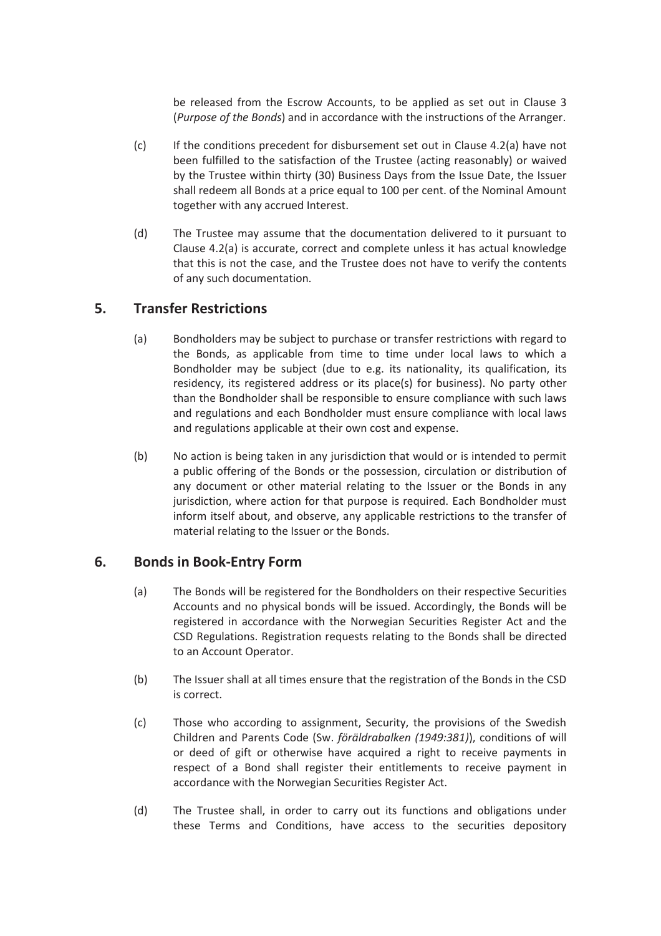be released from the Escrow Accounts, to be applied as set out in Clause 3 (*Purpose of the Bonds*) and in accordance with the instructions of the Arranger.

- (c) If the conditions precedent for disbursement set out in Clause 4.2(a) have not been fulfilled to the satisfaction of the Trustee (acting reasonably) or waived by the Trustee within thirty (30) Business Days from the Issue Date, the Issuer shall redeem all Bonds at a price equal to 100 per cent. of the Nominal Amount together with any accrued Interest.
- (d) The Trustee may assume that the documentation delivered to it pursuant to Clause 4.2(a) is accurate, correct and complete unless it has actual knowledge that this is not the case, and the Trustee does not have to verify the contents of any such documentation.

## **5. Transfer Restrictions**

- (a) Bondholders may be subject to purchase or transfer restrictions with regard to the Bonds, as applicable from time to time under local laws to which a Bondholder may be subject (due to e.g. its nationality, its qualification, its residency, its registered address or its place(s) for business). No party other than the Bondholder shall be responsible to ensure compliance with such laws and regulations and each Bondholder must ensure compliance with local laws and regulations applicable at their own cost and expense.
- (b) No action is being taken in any jurisdiction that would or is intended to permit a public offering of the Bonds or the possession, circulation or distribution of any document or other material relating to the Issuer or the Bonds in any jurisdiction, where action for that purpose is required. Each Bondholder must inform itself about, and observe, any applicable restrictions to the transfer of material relating to the Issuer or the Bonds.

## **6. Bonds in Book-Entry Form**

- (a) The Bonds will be registered for the Bondholders on their respective Securities Accounts and no physical bonds will be issued. Accordingly, the Bonds will be registered in accordance with the Norwegian Securities Register Act and the CSD Regulations. Registration requests relating to the Bonds shall be directed to an Account Operator.
- (b) The Issuer shall at all times ensure that the registration of the Bonds in the CSD is correct.
- (c) Those who according to assignment, Security, the provisions of the Swedish Children and Parents Code (Sw. *föräldrabalken (1949:381)*), conditions of will or deed of gift or otherwise have acquired a right to receive payments in respect of a Bond shall register their entitlements to receive payment in accordance with the Norwegian Securities Register Act.
- (d) The Trustee shall, in order to carry out its functions and obligations under these Terms and Conditions, have access to the securities depository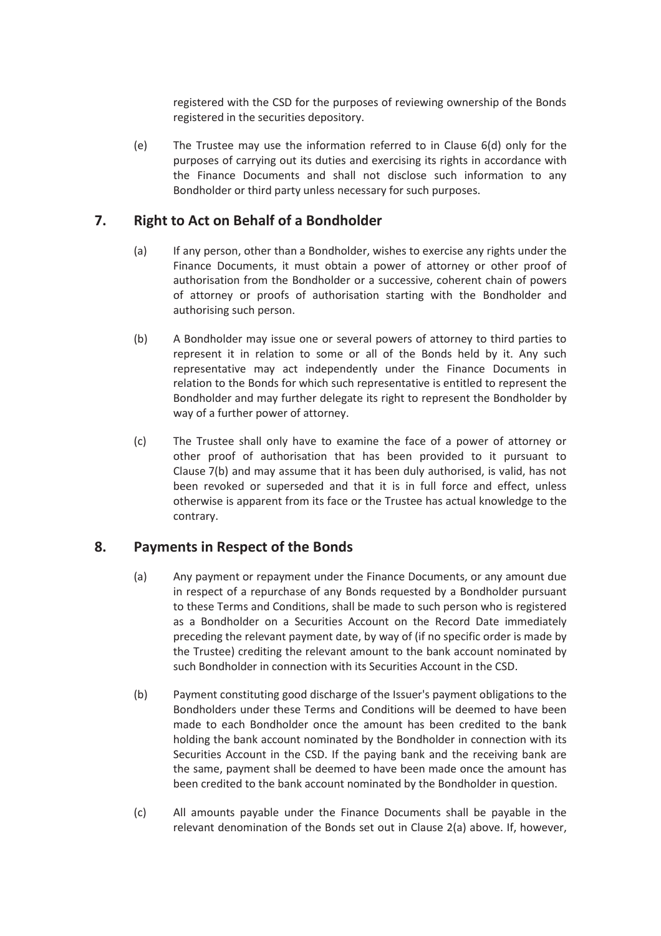registered with the CSD for the purposes of reviewing ownership of the Bonds registered in the securities depository.

(e) The Trustee may use the information referred to in Clause 6(d) only for the purposes of carrying out its duties and exercising its rights in accordance with the Finance Documents and shall not disclose such information to any Bondholder or third party unless necessary for such purposes.

# **7. Right to Act on Behalf of a Bondholder**

- (a) If any person, other than a Bondholder, wishes to exercise any rights under the Finance Documents, it must obtain a power of attorney or other proof of authorisation from the Bondholder or a successive, coherent chain of powers of attorney or proofs of authorisation starting with the Bondholder and authorising such person.
- (b) A Bondholder may issue one or several powers of attorney to third parties to represent it in relation to some or all of the Bonds held by it. Any such representative may act independently under the Finance Documents in relation to the Bonds for which such representative is entitled to represent the Bondholder and may further delegate its right to represent the Bondholder by way of a further power of attorney.
- (c) The Trustee shall only have to examine the face of a power of attorney or other proof of authorisation that has been provided to it pursuant to Clause 7(b) and may assume that it has been duly authorised, is valid, has not been revoked or superseded and that it is in full force and effect, unless otherwise is apparent from its face or the Trustee has actual knowledge to the contrary.

## **8. Payments in Respect of the Bonds**

- (a) Any payment or repayment under the Finance Documents, or any amount due in respect of a repurchase of any Bonds requested by a Bondholder pursuant to these Terms and Conditions, shall be made to such person who is registered as a Bondholder on a Securities Account on the Record Date immediately preceding the relevant payment date, by way of (if no specific order is made by the Trustee) crediting the relevant amount to the bank account nominated by such Bondholder in connection with its Securities Account in the CSD.
- (b) Payment constituting good discharge of the Issuer's payment obligations to the Bondholders under these Terms and Conditions will be deemed to have been made to each Bondholder once the amount has been credited to the bank holding the bank account nominated by the Bondholder in connection with its Securities Account in the CSD. If the paying bank and the receiving bank are the same, payment shall be deemed to have been made once the amount has been credited to the bank account nominated by the Bondholder in question.
- (c) All amounts payable under the Finance Documents shall be payable in the relevant denomination of the Bonds set out in Clause 2(a) above. If, however,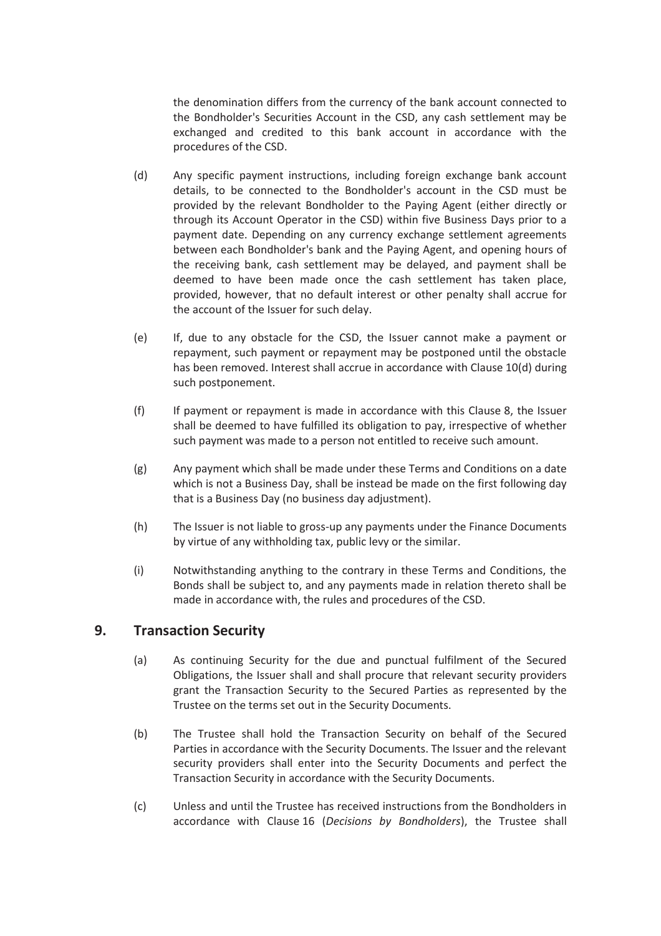the denomination differs from the currency of the bank account connected to the Bondholder's Securities Account in the CSD, any cash settlement may be exchanged and credited to this bank account in accordance with the procedures of the CSD.

- (d) Any specific payment instructions, including foreign exchange bank account details, to be connected to the Bondholder's account in the CSD must be provided by the relevant Bondholder to the Paying Agent (either directly or through its Account Operator in the CSD) within five Business Days prior to a payment date. Depending on any currency exchange settlement agreements between each Bondholder's bank and the Paying Agent, and opening hours of the receiving bank, cash settlement may be delayed, and payment shall be deemed to have been made once the cash settlement has taken place, provided, however, that no default interest or other penalty shall accrue for the account of the Issuer for such delay.
- (e) If, due to any obstacle for the CSD, the Issuer cannot make a payment or repayment, such payment or repayment may be postponed until the obstacle has been removed. Interest shall accrue in accordance with Clause 10(d) during such postponement.
- (f) If payment or repayment is made in accordance with this Clause 8, the Issuer shall be deemed to have fulfilled its obligation to pay, irrespective of whether such payment was made to a person not entitled to receive such amount.
- (g) Any payment which shall be made under these Terms and Conditions on a date which is not a Business Day, shall be instead be made on the first following day that is a Business Day (no business day adjustment).
- (h) The Issuer is not liable to gross-up any payments under the Finance Documents by virtue of any withholding tax, public levy or the similar.
- (i) Notwithstanding anything to the contrary in these Terms and Conditions, the Bonds shall be subject to, and any payments made in relation thereto shall be made in accordance with, the rules and procedures of the CSD.

## **9. Transaction Security**

- (a) As continuing Security for the due and punctual fulfilment of the Secured Obligations, the Issuer shall and shall procure that relevant security providers grant the Transaction Security to the Secured Parties as represented by the Trustee on the terms set out in the Security Documents.
- (b) The Trustee shall hold the Transaction Security on behalf of the Secured Parties in accordance with the Security Documents. The Issuer and the relevant security providers shall enter into the Security Documents and perfect the Transaction Security in accordance with the Security Documents.
- (c) Unless and until the Trustee has received instructions from the Bondholders in accordance with Clause 16 (*Decisions by Bondholders*), the Trustee shall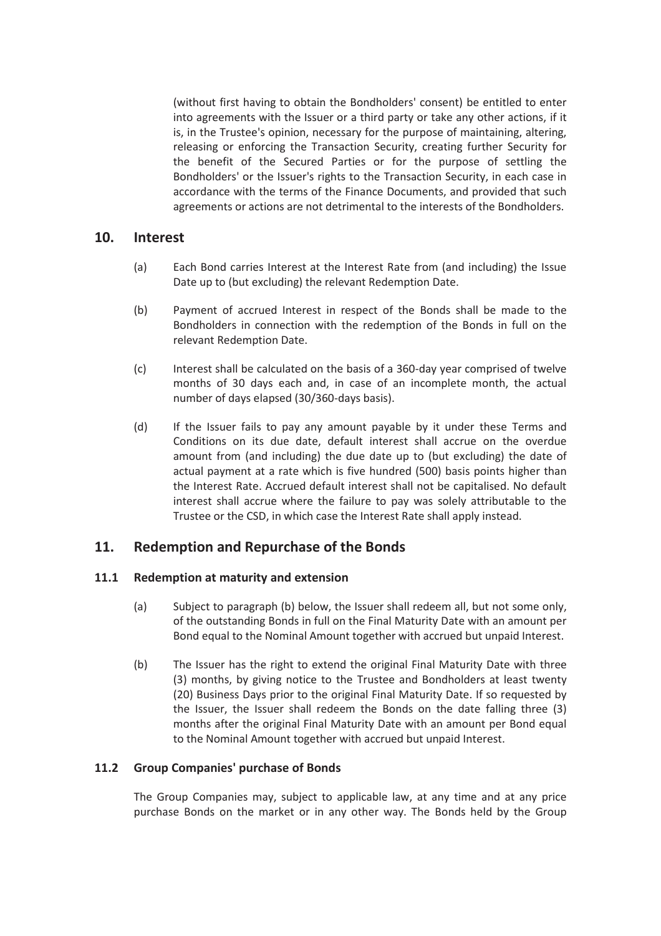(without first having to obtain the Bondholders' consent) be entitled to enter into agreements with the Issuer or a third party or take any other actions, if it is, in the Trustee's opinion, necessary for the purpose of maintaining, altering, releasing or enforcing the Transaction Security, creating further Security for the benefit of the Secured Parties or for the purpose of settling the Bondholders' or the Issuer's rights to the Transaction Security, in each case in accordance with the terms of the Finance Documents, and provided that such agreements or actions are not detrimental to the interests of the Bondholders.

### **10. Interest**

- (a) Each Bond carries Interest at the Interest Rate from (and including) the Issue Date up to (but excluding) the relevant Redemption Date.
- (b) Payment of accrued Interest in respect of the Bonds shall be made to the Bondholders in connection with the redemption of the Bonds in full on the relevant Redemption Date.
- (c) Interest shall be calculated on the basis of a 360-day year comprised of twelve months of 30 days each and, in case of an incomplete month, the actual number of days elapsed (30/360-days basis).
- (d) If the Issuer fails to pay any amount payable by it under these Terms and Conditions on its due date, default interest shall accrue on the overdue amount from (and including) the due date up to (but excluding) the date of actual payment at a rate which is five hundred (500) basis points higher than the Interest Rate. Accrued default interest shall not be capitalised. No default interest shall accrue where the failure to pay was solely attributable to the Trustee or the CSD, in which case the Interest Rate shall apply instead.

## **11. Redemption and Repurchase of the Bonds**

#### **11.1 Redemption at maturity and extension**

- (a) Subject to paragraph (b) below, the Issuer shall redeem all, but not some only, of the outstanding Bonds in full on the Final Maturity Date with an amount per Bond equal to the Nominal Amount together with accrued but unpaid Interest.
- (b) The Issuer has the right to extend the original Final Maturity Date with three (3) months, by giving notice to the Trustee and Bondholders at least twenty (20) Business Days prior to the original Final Maturity Date. If so requested by the Issuer, the Issuer shall redeem the Bonds on the date falling three (3) months after the original Final Maturity Date with an amount per Bond equal to the Nominal Amount together with accrued but unpaid Interest.

#### **11.2 Group Companies' purchase of Bonds**

The Group Companies may, subject to applicable law, at any time and at any price purchase Bonds on the market or in any other way. The Bonds held by the Group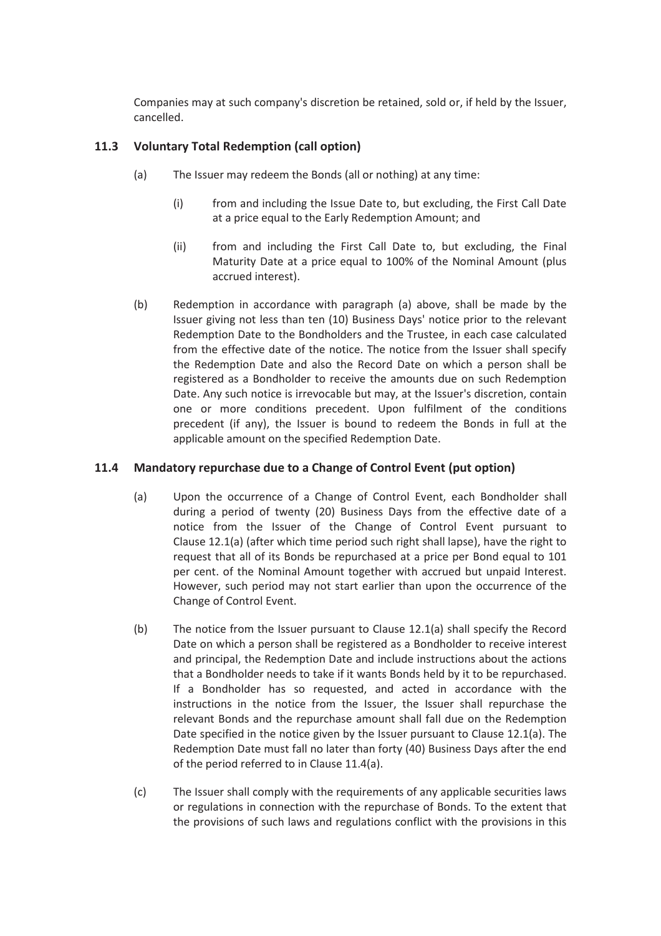Companies may at such company's discretion be retained, sold or, if held by the Issuer, cancelled.

### **11.3 Voluntary Total Redemption (call option)**

- (a) The Issuer may redeem the Bonds (all or nothing) at any time:
	- (i) from and including the Issue Date to, but excluding, the First Call Date at a price equal to the Early Redemption Amount; and
	- (ii) from and including the First Call Date to, but excluding, the Final Maturity Date at a price equal to 100% of the Nominal Amount (plus accrued interest).
- (b) Redemption in accordance with paragraph (a) above, shall be made by the Issuer giving not less than ten (10) Business Days' notice prior to the relevant Redemption Date to the Bondholders and the Trustee, in each case calculated from the effective date of the notice. The notice from the Issuer shall specify the Redemption Date and also the Record Date on which a person shall be registered as a Bondholder to receive the amounts due on such Redemption Date. Any such notice is irrevocable but may, at the Issuer's discretion, contain one or more conditions precedent. Upon fulfilment of the conditions precedent (if any), the Issuer is bound to redeem the Bonds in full at the applicable amount on the specified Redemption Date.

#### **11.4 Mandatory repurchase due to a Change of Control Event (put option)**

- (a) Upon the occurrence of a Change of Control Event, each Bondholder shall during a period of twenty (20) Business Days from the effective date of a notice from the Issuer of the Change of Control Event pursuant to Clause 12.1(a) (after which time period such right shall lapse), have the right to request that all of its Bonds be repurchased at a price per Bond equal to 101 per cent. of the Nominal Amount together with accrued but unpaid Interest. However, such period may not start earlier than upon the occurrence of the Change of Control Event.
- (b) The notice from the Issuer pursuant to Clause 12.1(a) shall specify the Record Date on which a person shall be registered as a Bondholder to receive interest and principal, the Redemption Date and include instructions about the actions that a Bondholder needs to take if it wants Bonds held by it to be repurchased. If a Bondholder has so requested, and acted in accordance with the instructions in the notice from the Issuer, the Issuer shall repurchase the relevant Bonds and the repurchase amount shall fall due on the Redemption Date specified in the notice given by the Issuer pursuant to Clause 12.1(a). The Redemption Date must fall no later than forty (40) Business Days after the end of the period referred to in Clause 11.4(a).
- (c) The Issuer shall comply with the requirements of any applicable securities laws or regulations in connection with the repurchase of Bonds. To the extent that the provisions of such laws and regulations conflict with the provisions in this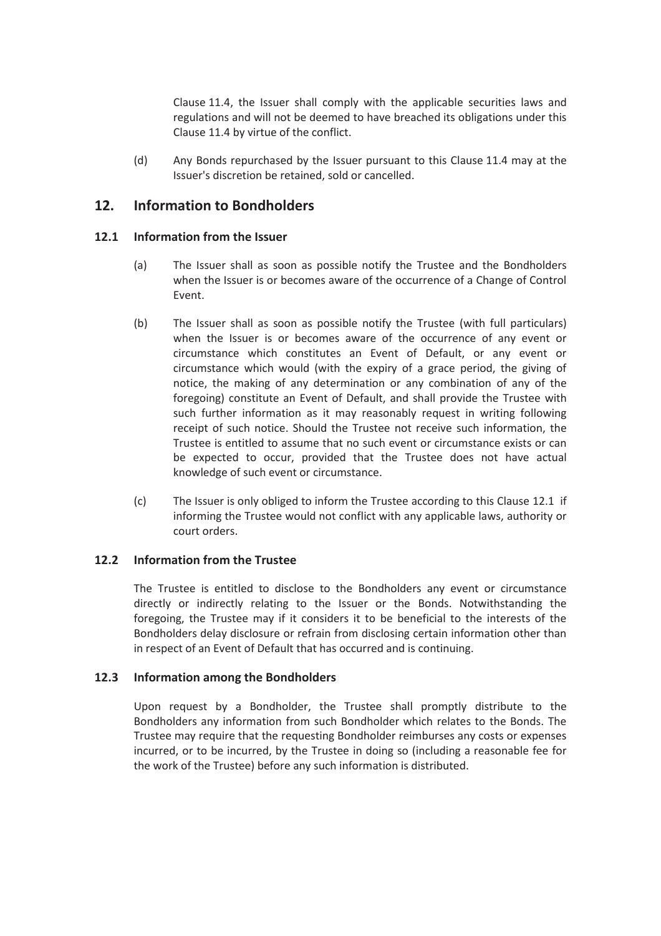Clause 11.4, the Issuer shall comply with the applicable securities laws and regulations and will not be deemed to have breached its obligations under this Clause 11.4 by virtue of the conflict.

(d) Any Bonds repurchased by the Issuer pursuant to this Clause 11.4 may at the Issuer's discretion be retained, sold or cancelled.

# **12. Information to Bondholders**

#### **12.1 Information from the Issuer**

- (a) The Issuer shall as soon as possible notify the Trustee and the Bondholders when the Issuer is or becomes aware of the occurrence of a Change of Control Event.
- (b) The Issuer shall as soon as possible notify the Trustee (with full particulars) when the Issuer is or becomes aware of the occurrence of any event or circumstance which constitutes an Event of Default, or any event or circumstance which would (with the expiry of a grace period, the giving of notice, the making of any determination or any combination of any of the foregoing) constitute an Event of Default, and shall provide the Trustee with such further information as it may reasonably request in writing following receipt of such notice. Should the Trustee not receive such information, the Trustee is entitled to assume that no such event or circumstance exists or can be expected to occur, provided that the Trustee does not have actual knowledge of such event or circumstance.
- (c) The Issuer is only obliged to inform the Trustee according to this Clause 12.1 if informing the Trustee would not conflict with any applicable laws, authority or court orders.

#### **12.2 Information from the Trustee**

The Trustee is entitled to disclose to the Bondholders any event or circumstance directly or indirectly relating to the Issuer or the Bonds. Notwithstanding the foregoing, the Trustee may if it considers it to be beneficial to the interests of the Bondholders delay disclosure or refrain from disclosing certain information other than in respect of an Event of Default that has occurred and is continuing.

#### **12.3 Information among the Bondholders**

Upon request by a Bondholder, the Trustee shall promptly distribute to the Bondholders any information from such Bondholder which relates to the Bonds. The Trustee may require that the requesting Bondholder reimburses any costs or expenses incurred, or to be incurred, by the Trustee in doing so (including a reasonable fee for the work of the Trustee) before any such information is distributed.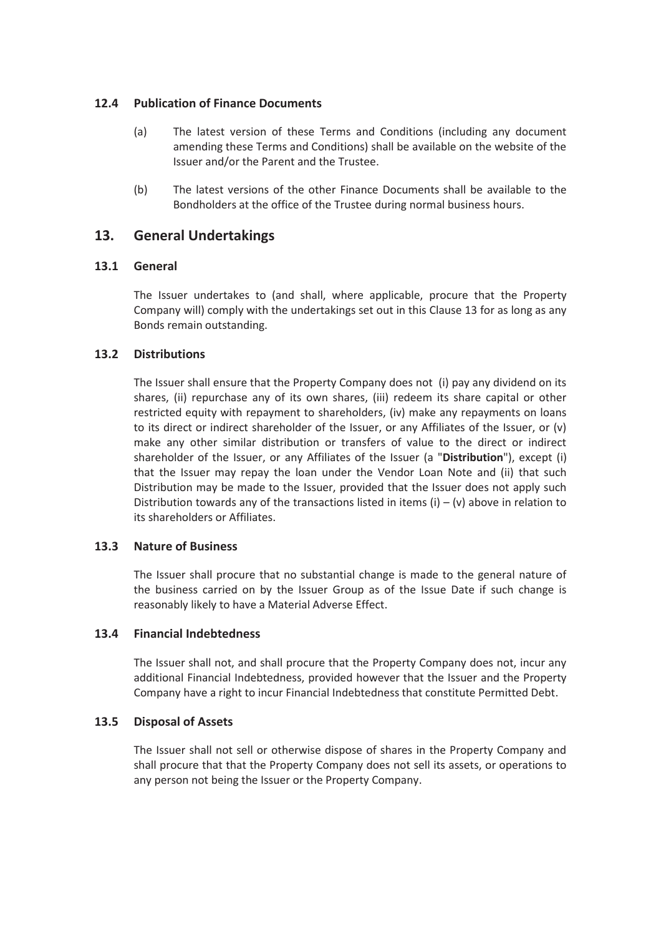#### **12.4 Publication of Finance Documents**

- (a) The latest version of these Terms and Conditions (including any document amending these Terms and Conditions) shall be available on the website of the Issuer and/or the Parent and the Trustee.
- (b) The latest versions of the other Finance Documents shall be available to the Bondholders at the office of the Trustee during normal business hours.

### **13. General Undertakings**

#### **13.1 General**

The Issuer undertakes to (and shall, where applicable, procure that the Property Company will) comply with the undertakings set out in this Clause 13 for as long as any Bonds remain outstanding.

#### **13.2 Distributions**

The Issuer shall ensure that the Property Company does not (i) pay any dividend on its shares, (ii) repurchase any of its own shares, (iii) redeem its share capital or other restricted equity with repayment to shareholders, (iv) make any repayments on loans to its direct or indirect shareholder of the Issuer, or any Affiliates of the Issuer, or (v) make any other similar distribution or transfers of value to the direct or indirect shareholder of the Issuer, or any Affiliates of the Issuer (a "**Distribution**"), except (i) that the Issuer may repay the loan under the Vendor Loan Note and (ii) that such Distribution may be made to the Issuer, provided that the Issuer does not apply such Distribution towards any of the transactions listed in items  $(i) - (v)$  above in relation to its shareholders or Affiliates.

#### **13.3 Nature of Business**

The Issuer shall procure that no substantial change is made to the general nature of the business carried on by the Issuer Group as of the Issue Date if such change is reasonably likely to have a Material Adverse Effect.

#### **13.4 Financial Indebtedness**

The Issuer shall not, and shall procure that the Property Company does not, incur any additional Financial Indebtedness, provided however that the Issuer and the Property Company have a right to incur Financial Indebtedness that constitute Permitted Debt.

#### **13.5 Disposal of Assets**

The Issuer shall not sell or otherwise dispose of shares in the Property Company and shall procure that that the Property Company does not sell its assets, or operations to any person not being the Issuer or the Property Company.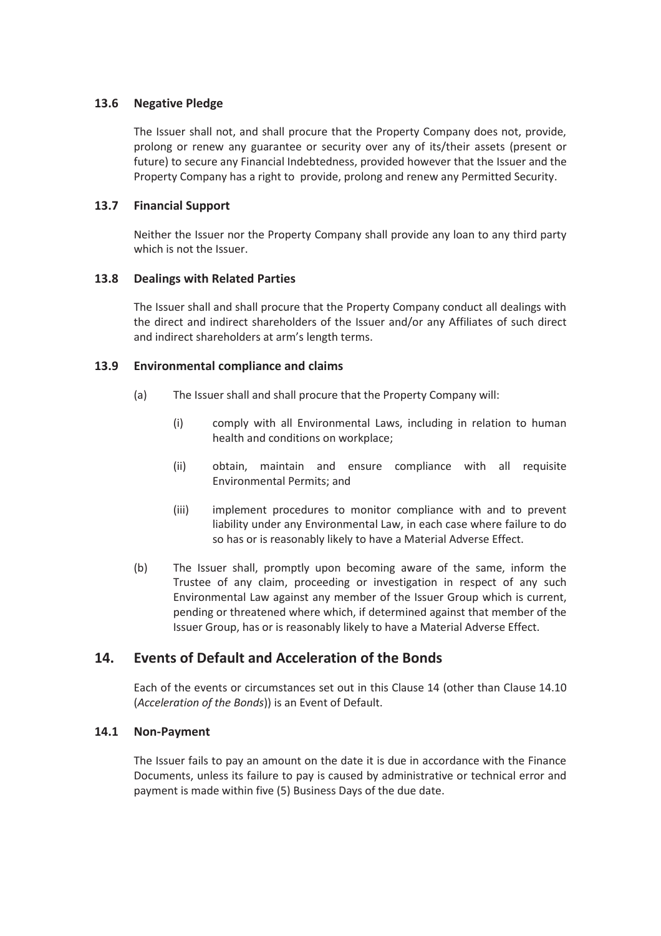#### **13.6 Negative Pledge**

The Issuer shall not, and shall procure that the Property Company does not, provide, prolong or renew any guarantee or security over any of its/their assets (present or future) to secure any Financial Indebtedness, provided however that the Issuer and the Property Company has a right to provide, prolong and renew any Permitted Security.

#### **13.7 Financial Support**

Neither the Issuer nor the Property Company shall provide any loan to any third party which is not the Issuer.

#### **13.8 Dealings with Related Parties**

The Issuer shall and shall procure that the Property Company conduct all dealings with the direct and indirect shareholders of the Issuer and/or any Affiliates of such direct and indirect shareholders at arm's length terms.

#### **13.9 Environmental compliance and claims**

- (a) The Issuer shall and shall procure that the Property Company will:
	- (i) comply with all Environmental Laws, including in relation to human health and conditions on workplace;
	- (ii) obtain, maintain and ensure compliance with all requisite Environmental Permits; and
	- (iii) implement procedures to monitor compliance with and to prevent liability under any Environmental Law, in each case where failure to do so has or is reasonably likely to have a Material Adverse Effect.
- (b) The Issuer shall, promptly upon becoming aware of the same, inform the Trustee of any claim, proceeding or investigation in respect of any such Environmental Law against any member of the Issuer Group which is current, pending or threatened where which, if determined against that member of the Issuer Group, has or is reasonably likely to have a Material Adverse Effect.

# **14. Events of Default and Acceleration of the Bonds**

Each of the events or circumstances set out in this Clause 14 (other than Clause 14.10 (*Acceleration of the Bonds*)) is an Event of Default.

#### **14.1 Non-Payment**

The Issuer fails to pay an amount on the date it is due in accordance with the Finance Documents, unless its failure to pay is caused by administrative or technical error and payment is made within five (5) Business Days of the due date.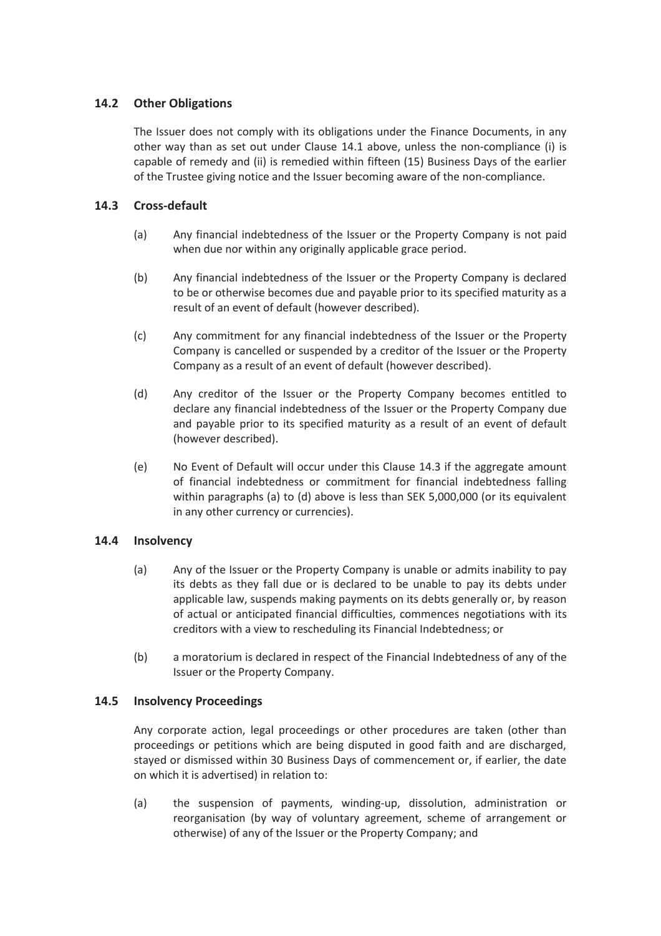### **14.2 Other Obligations**

The Issuer does not comply with its obligations under the Finance Documents, in any other way than as set out under Clause 14.1 above, unless the non-compliance (i) is capable of remedy and (ii) is remedied within fifteen (15) Business Days of the earlier of the Trustee giving notice and the Issuer becoming aware of the non-compliance.

#### **14.3 Cross-default**

- (a) Any financial indebtedness of the Issuer or the Property Company is not paid when due nor within any originally applicable grace period.
- (b) Any financial indebtedness of the Issuer or the Property Company is declared to be or otherwise becomes due and payable prior to its specified maturity as a result of an event of default (however described).
- (c) Any commitment for any financial indebtedness of the Issuer or the Property Company is cancelled or suspended by a creditor of the Issuer or the Property Company as a result of an event of default (however described).
- (d) Any creditor of the Issuer or the Property Company becomes entitled to declare any financial indebtedness of the Issuer or the Property Company due and payable prior to its specified maturity as a result of an event of default (however described).
- (e) No Event of Default will occur under this Clause 14.3 if the aggregate amount of financial indebtedness or commitment for financial indebtedness falling within paragraphs (a) to (d) above is less than SEK 5,000,000 (or its equivalent in any other currency or currencies).

#### **14.4 Insolvency**

- (a) Any of the Issuer or the Property Company is unable or admits inability to pay its debts as they fall due or is declared to be unable to pay its debts under applicable law, suspends making payments on its debts generally or, by reason of actual or anticipated financial difficulties, commences negotiations with its creditors with a view to rescheduling its Financial Indebtedness; or
- (b) a moratorium is declared in respect of the Financial Indebtedness of any of the Issuer or the Property Company.

#### **14.5 Insolvency Proceedings**

Any corporate action, legal proceedings or other procedures are taken (other than proceedings or petitions which are being disputed in good faith and are discharged, stayed or dismissed within 30 Business Days of commencement or, if earlier, the date on which it is advertised) in relation to:

(a) the suspension of payments, winding-up, dissolution, administration or reorganisation (by way of voluntary agreement, scheme of arrangement or otherwise) of any of the Issuer or the Property Company; and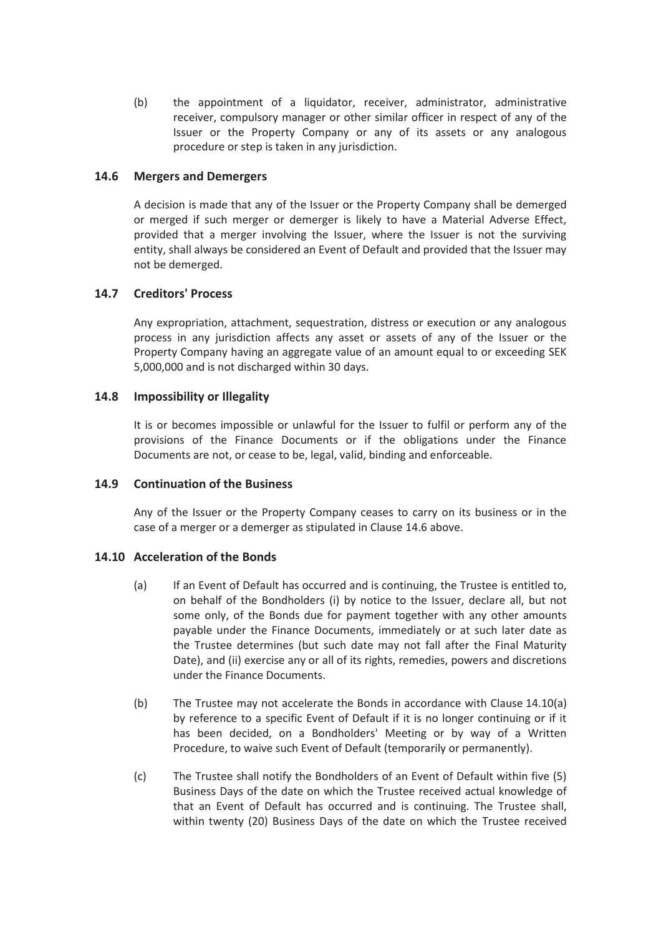(b) the appointment of a liquidator, receiver, administrator, administrative receiver, compulsory manager or other similar officer in respect of any of the Issuer or the Property Company or any of its assets or any analogous procedure or step is taken in any jurisdiction.

#### **14.6 Mergers and Demergers**

A decision is made that any of the Issuer or the Property Company shall be demerged or merged if such merger or demerger is likely to have a Material Adverse Effect, provided that a merger involving the Issuer, where the Issuer is not the surviving entity, shall always be considered an Event of Default and provided that the Issuer may not be demerged.

#### **14.7 Creditors' Process**

Any expropriation, attachment, sequestration, distress or execution or any analogous process in any jurisdiction affects any asset or assets of any of the Issuer or the Property Company having an aggregate value of an amount equal to or exceeding SEK 5,000,000 and is not discharged within 30 days.

#### **14.8 Impossibility or Illegality**

It is or becomes impossible or unlawful for the Issuer to fulfil or perform any of the provisions of the Finance Documents or if the obligations under the Finance Documents are not, or cease to be, legal, valid, binding and enforceable.

#### **14.9 Continuation of the Business**

Any of the Issuer or the Property Company ceases to carry on its business or in the case of a merger or a demerger as stipulated in Clause 14.6 above.

#### **14.10 Acceleration of the Bonds**

- (a) If an Event of Default has occurred and is continuing, the Trustee is entitled to, on behalf of the Bondholders (i) by notice to the Issuer, declare all, but not some only, of the Bonds due for payment together with any other amounts payable under the Finance Documents, immediately or at such later date as the Trustee determines (but such date may not fall after the Final Maturity Date), and (ii) exercise any or all of its rights, remedies, powers and discretions under the Finance Documents.
- (b) The Trustee may not accelerate the Bonds in accordance with Clause 14.10(a) by reference to a specific Event of Default if it is no longer continuing or if it has been decided, on a Bondholders' Meeting or by way of a Written Procedure, to waive such Event of Default (temporarily or permanently).
- (c) The Trustee shall notify the Bondholders of an Event of Default within five (5) Business Days of the date on which the Trustee received actual knowledge of that an Event of Default has occurred and is continuing. The Trustee shall, within twenty (20) Business Days of the date on which the Trustee received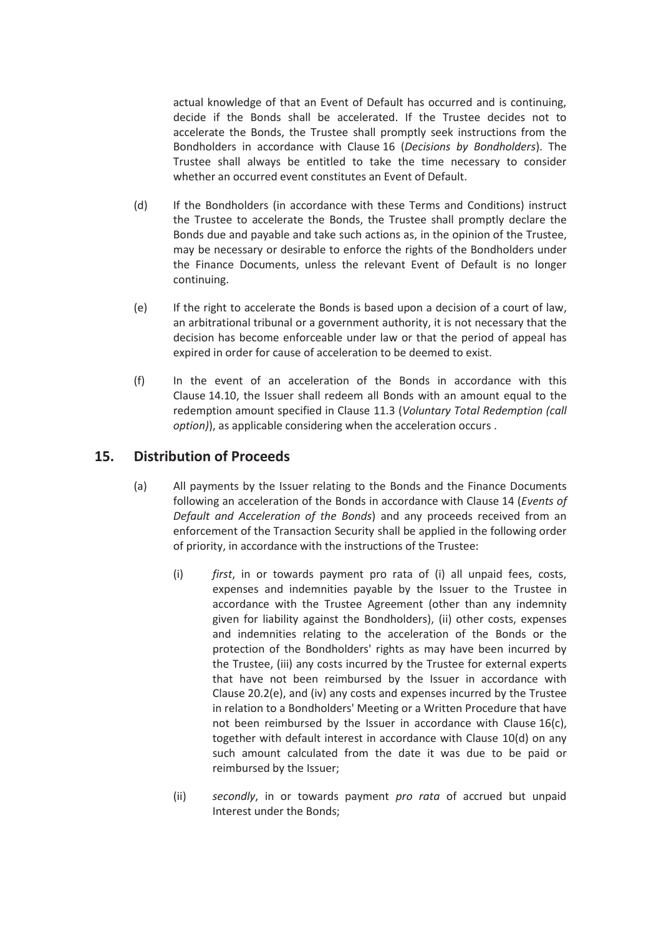actual knowledge of that an Event of Default has occurred and is continuing, decide if the Bonds shall be accelerated. If the Trustee decides not to accelerate the Bonds, the Trustee shall promptly seek instructions from the Bondholders in accordance with Clause 16 (*Decisions by Bondholders*). The Trustee shall always be entitled to take the time necessary to consider whether an occurred event constitutes an Event of Default.

- (d) If the Bondholders (in accordance with these Terms and Conditions) instruct the Trustee to accelerate the Bonds, the Trustee shall promptly declare the Bonds due and payable and take such actions as, in the opinion of the Trustee, may be necessary or desirable to enforce the rights of the Bondholders under the Finance Documents, unless the relevant Event of Default is no longer continuing.
- (e) If the right to accelerate the Bonds is based upon a decision of a court of law, an arbitrational tribunal or a government authority, it is not necessary that the decision has become enforceable under law or that the period of appeal has expired in order for cause of acceleration to be deemed to exist.
- (f) In the event of an acceleration of the Bonds in accordance with this Clause 14.10, the Issuer shall redeem all Bonds with an amount equal to the redemption amount specified in Clause 11.3 (*Voluntary Total Redemption (call option)*), as applicable considering when the acceleration occurs .

# **15. Distribution of Proceeds**

- (a) All payments by the Issuer relating to the Bonds and the Finance Documents following an acceleration of the Bonds in accordance with Clause 14 (*Events of Default and Acceleration of the Bonds*) and any proceeds received from an enforcement of the Transaction Security shall be applied in the following order of priority, in accordance with the instructions of the Trustee:
	- (i) *first*, in or towards payment pro rata of (i) all unpaid fees, costs, expenses and indemnities payable by the Issuer to the Trustee in accordance with the Trustee Agreement (other than any indemnity given for liability against the Bondholders), (ii) other costs, expenses and indemnities relating to the acceleration of the Bonds or the protection of the Bondholders' rights as may have been incurred by the Trustee, (iii) any costs incurred by the Trustee for external experts that have not been reimbursed by the Issuer in accordance with Clause 20.2(e), and (iv) any costs and expenses incurred by the Trustee in relation to a Bondholders' Meeting or a Written Procedure that have not been reimbursed by the Issuer in accordance with Clause 16(c), together with default interest in accordance with Clause 10(d) on any such amount calculated from the date it was due to be paid or reimbursed by the Issuer;
	- (ii) *secondly*, in or towards payment *pro rata* of accrued but unpaid Interest under the Bonds;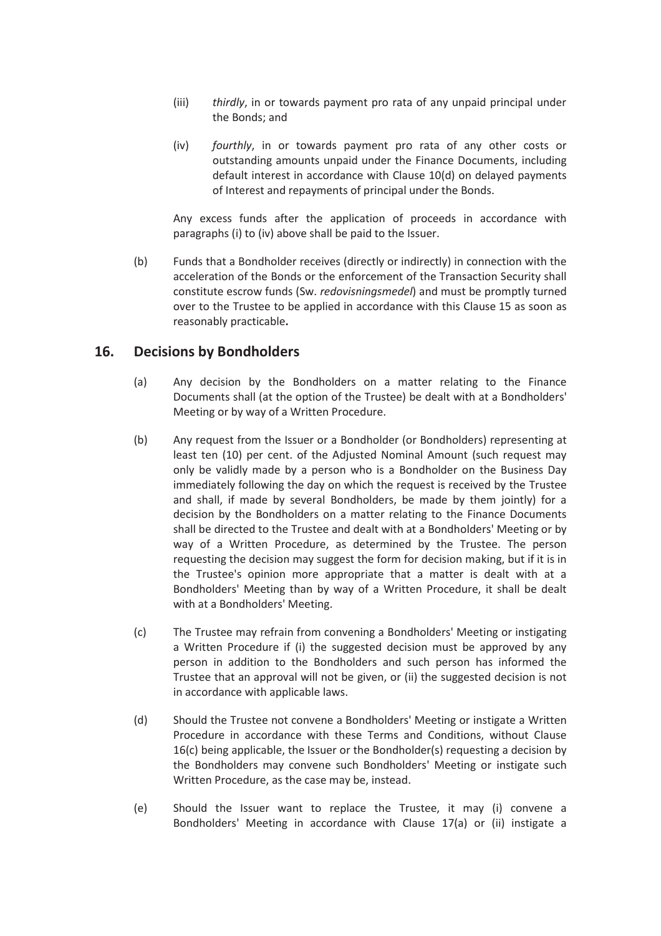- (iii) *thirdly*, in or towards payment pro rata of any unpaid principal under the Bonds; and
- (iv) *fourthly*, in or towards payment pro rata of any other costs or outstanding amounts unpaid under the Finance Documents, including default interest in accordance with Clause 10(d) on delayed payments of Interest and repayments of principal under the Bonds.

Any excess funds after the application of proceeds in accordance with paragraphs (i) to (iv) above shall be paid to the Issuer.

(b) Funds that a Bondholder receives (directly or indirectly) in connection with the acceleration of the Bonds or the enforcement of the Transaction Security shall constitute escrow funds (Sw. *redovisningsmedel*) and must be promptly turned over to the Trustee to be applied in accordance with this Clause 15 as soon as reasonably practicable**.**

### **16. Decisions by Bondholders**

- (a) Any decision by the Bondholders on a matter relating to the Finance Documents shall (at the option of the Trustee) be dealt with at a Bondholders' Meeting or by way of a Written Procedure.
- (b) Any request from the Issuer or a Bondholder (or Bondholders) representing at least ten (10) per cent. of the Adjusted Nominal Amount (such request may only be validly made by a person who is a Bondholder on the Business Day immediately following the day on which the request is received by the Trustee and shall, if made by several Bondholders, be made by them jointly) for a decision by the Bondholders on a matter relating to the Finance Documents shall be directed to the Trustee and dealt with at a Bondholders' Meeting or by way of a Written Procedure, as determined by the Trustee. The person requesting the decision may suggest the form for decision making, but if it is in the Trustee's opinion more appropriate that a matter is dealt with at a Bondholders' Meeting than by way of a Written Procedure, it shall be dealt with at a Bondholders' Meeting.
- (c) The Trustee may refrain from convening a Bondholders' Meeting or instigating a Written Procedure if (i) the suggested decision must be approved by any person in addition to the Bondholders and such person has informed the Trustee that an approval will not be given, or (ii) the suggested decision is not in accordance with applicable laws.
- (d) Should the Trustee not convene a Bondholders' Meeting or instigate a Written Procedure in accordance with these Terms and Conditions, without Clause 16(c) being applicable, the Issuer or the Bondholder(s) requesting a decision by the Bondholders may convene such Bondholders' Meeting or instigate such Written Procedure, as the case may be, instead.
- (e) Should the Issuer want to replace the Trustee, it may (i) convene a Bondholders' Meeting in accordance with Clause 17(a) or (ii) instigate a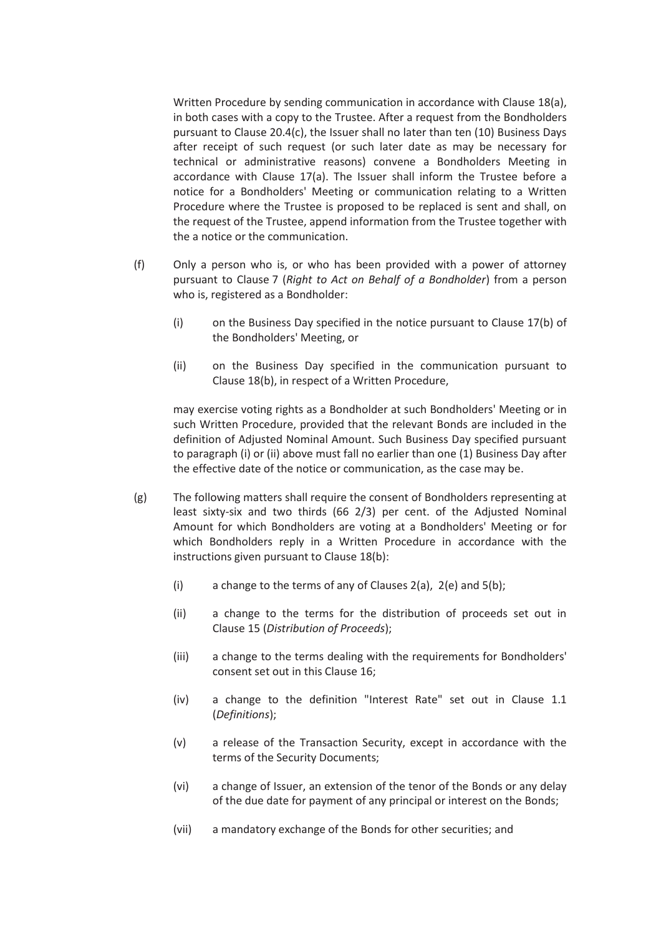Written Procedure by sending communication in accordance with Clause 18(a), in both cases with a copy to the Trustee. After a request from the Bondholders pursuant to Clause 20.4(c), the Issuer shall no later than ten (10) Business Days after receipt of such request (or such later date as may be necessary for technical or administrative reasons) convene a Bondholders Meeting in accordance with Clause 17(a). The Issuer shall inform the Trustee before a notice for a Bondholders' Meeting or communication relating to a Written Procedure where the Trustee is proposed to be replaced is sent and shall, on the request of the Trustee, append information from the Trustee together with the a notice or the communication.

- (f) Only a person who is, or who has been provided with a power of attorney pursuant to Clause 7 (*Right to Act on Behalf of a Bondholder*) from a person who is, registered as a Bondholder:
	- (i) on the Business Day specified in the notice pursuant to Clause 17(b) of the Bondholders' Meeting, or
	- (ii) on the Business Day specified in the communication pursuant to Clause 18(b), in respect of a Written Procedure,

may exercise voting rights as a Bondholder at such Bondholders' Meeting or in such Written Procedure, provided that the relevant Bonds are included in the definition of Adjusted Nominal Amount. Such Business Day specified pursuant to paragraph (i) or (ii) above must fall no earlier than one (1) Business Day after the effective date of the notice or communication, as the case may be.

- (g) The following matters shall require the consent of Bondholders representing at least sixty-six and two thirds (66 2/3) per cent. of the Adjusted Nominal Amount for which Bondholders are voting at a Bondholders' Meeting or for which Bondholders reply in a Written Procedure in accordance with the instructions given pursuant to Clause 18(b):
	- (i) a change to the terms of any of Clauses  $2(a)$ ,  $2(e)$  and  $5(b)$ ;
	- (ii) a change to the terms for the distribution of proceeds set out in Clause 15 (*Distribution of Proceeds*);
	- (iii) a change to the terms dealing with the requirements for Bondholders' consent set out in this Clause 16;
	- (iv) a change to the definition "Interest Rate" set out in Clause 1.1 (*Definitions*);
	- (v) a release of the Transaction Security, except in accordance with the terms of the Security Documents;
	- (vi) a change of Issuer, an extension of the tenor of the Bonds or any delay of the due date for payment of any principal or interest on the Bonds;
	- (vii) a mandatory exchange of the Bonds for other securities; and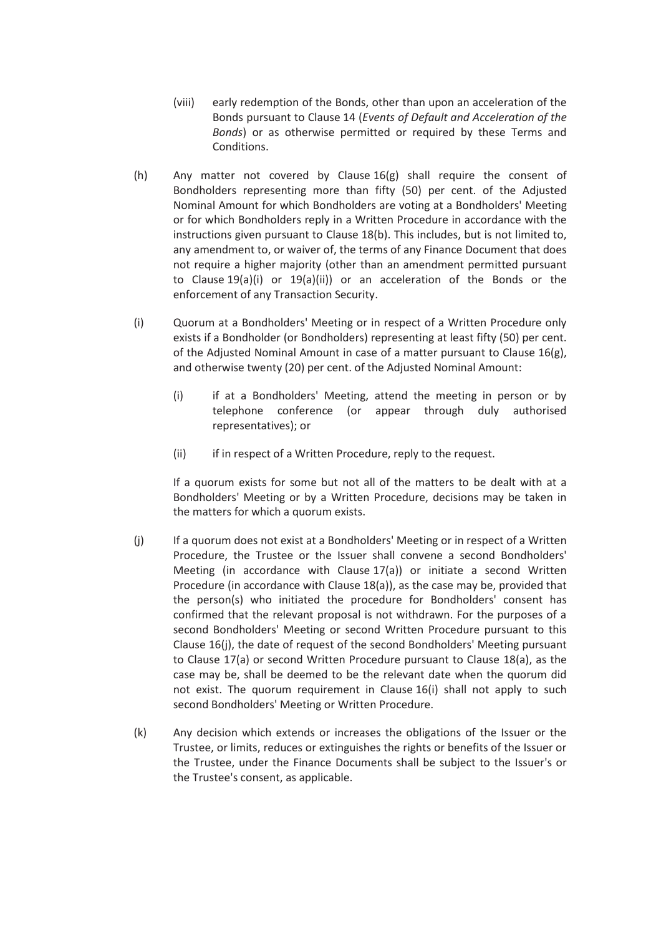- (viii) early redemption of the Bonds, other than upon an acceleration of the Bonds pursuant to Clause 14 (*Events of Default and Acceleration of the Bonds*) or as otherwise permitted or required by these Terms and Conditions.
- (h) Any matter not covered by Clause 16(g) shall require the consent of Bondholders representing more than fifty (50) per cent. of the Adjusted Nominal Amount for which Bondholders are voting at a Bondholders' Meeting or for which Bondholders reply in a Written Procedure in accordance with the instructions given pursuant to Clause 18(b). This includes, but is not limited to, any amendment to, or waiver of, the terms of any Finance Document that does not require a higher majority (other than an amendment permitted pursuant to Clause 19(a)(i) or 19(a)(ii)) or an acceleration of the Bonds or the enforcement of any Transaction Security.
- (i) Quorum at a Bondholders' Meeting or in respect of a Written Procedure only exists if a Bondholder (or Bondholders) representing at least fifty (50) per cent. of the Adjusted Nominal Amount in case of a matter pursuant to Clause  $16(g)$ , and otherwise twenty (20) per cent. of the Adjusted Nominal Amount:
	- (i) if at a Bondholders' Meeting, attend the meeting in person or by telephone conference (or appear through duly authorised representatives); or
	- (ii) if in respect of a Written Procedure, reply to the request.

If a quorum exists for some but not all of the matters to be dealt with at a Bondholders' Meeting or by a Written Procedure, decisions may be taken in the matters for which a quorum exists.

- (j) If a quorum does not exist at a Bondholders' Meeting or in respect of a Written Procedure, the Trustee or the Issuer shall convene a second Bondholders' Meeting (in accordance with Clause 17(a)) or initiate a second Written Procedure (in accordance with Clause 18(a)), as the case may be, provided that the person(s) who initiated the procedure for Bondholders' consent has confirmed that the relevant proposal is not withdrawn. For the purposes of a second Bondholders' Meeting or second Written Procedure pursuant to this Clause 16(j), the date of request of the second Bondholders' Meeting pursuant to Clause 17(a) or second Written Procedure pursuant to Clause 18(a), as the case may be, shall be deemed to be the relevant date when the quorum did not exist. The quorum requirement in Clause 16(i) shall not apply to such second Bondholders' Meeting or Written Procedure.
- (k) Any decision which extends or increases the obligations of the Issuer or the Trustee, or limits, reduces or extinguishes the rights or benefits of the Issuer or the Trustee, under the Finance Documents shall be subject to the Issuer's or the Trustee's consent, as applicable.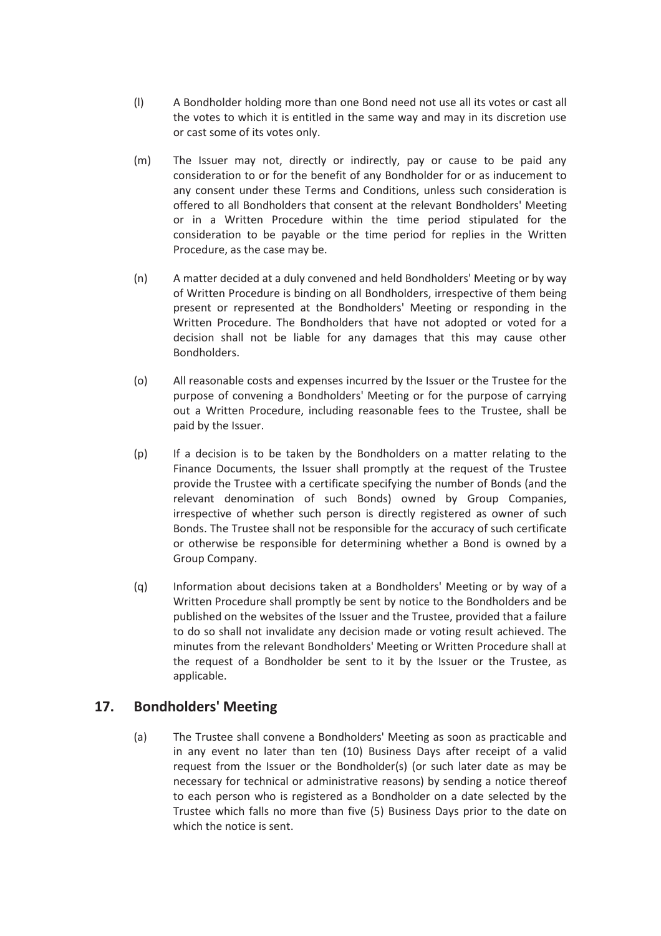- (l) A Bondholder holding more than one Bond need not use all its votes or cast all the votes to which it is entitled in the same way and may in its discretion use or cast some of its votes only.
- (m) The Issuer may not, directly or indirectly, pay or cause to be paid any consideration to or for the benefit of any Bondholder for or as inducement to any consent under these Terms and Conditions, unless such consideration is offered to all Bondholders that consent at the relevant Bondholders' Meeting or in a Written Procedure within the time period stipulated for the consideration to be payable or the time period for replies in the Written Procedure, as the case may be.
- (n) A matter decided at a duly convened and held Bondholders' Meeting or by way of Written Procedure is binding on all Bondholders, irrespective of them being present or represented at the Bondholders' Meeting or responding in the Written Procedure. The Bondholders that have not adopted or voted for a decision shall not be liable for any damages that this may cause other Bondholders.
- (o) All reasonable costs and expenses incurred by the Issuer or the Trustee for the purpose of convening a Bondholders' Meeting or for the purpose of carrying out a Written Procedure, including reasonable fees to the Trustee, shall be paid by the Issuer.
- (p) If a decision is to be taken by the Bondholders on a matter relating to the Finance Documents, the Issuer shall promptly at the request of the Trustee provide the Trustee with a certificate specifying the number of Bonds (and the relevant denomination of such Bonds) owned by Group Companies, irrespective of whether such person is directly registered as owner of such Bonds. The Trustee shall not be responsible for the accuracy of such certificate or otherwise be responsible for determining whether a Bond is owned by a Group Company.
- (q) Information about decisions taken at a Bondholders' Meeting or by way of a Written Procedure shall promptly be sent by notice to the Bondholders and be published on the websites of the Issuer and the Trustee, provided that a failure to do so shall not invalidate any decision made or voting result achieved. The minutes from the relevant Bondholders' Meeting or Written Procedure shall at the request of a Bondholder be sent to it by the Issuer or the Trustee, as applicable.

# **17. Bondholders' Meeting**

(a) The Trustee shall convene a Bondholders' Meeting as soon as practicable and in any event no later than ten (10) Business Days after receipt of a valid request from the Issuer or the Bondholder(s) (or such later date as may be necessary for technical or administrative reasons) by sending a notice thereof to each person who is registered as a Bondholder on a date selected by the Trustee which falls no more than five (5) Business Days prior to the date on which the notice is sent.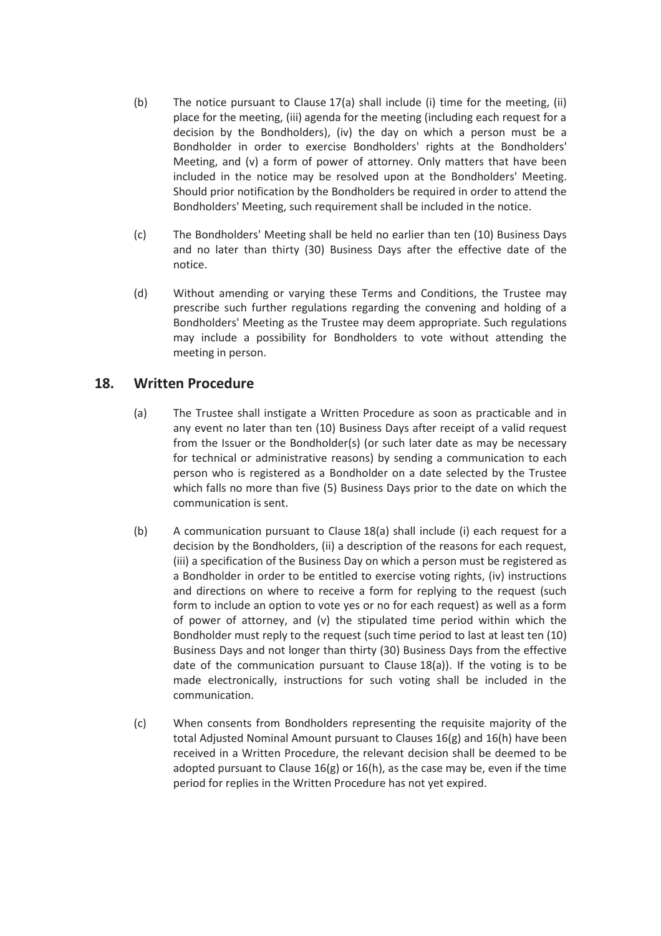- (b) The notice pursuant to Clause 17(a) shall include (i) time for the meeting, (ii) place for the meeting, (iii) agenda for the meeting (including each request for a decision by the Bondholders), (iv) the day on which a person must be a Bondholder in order to exercise Bondholders' rights at the Bondholders' Meeting, and (v) a form of power of attorney. Only matters that have been included in the notice may be resolved upon at the Bondholders' Meeting. Should prior notification by the Bondholders be required in order to attend the Bondholders' Meeting, such requirement shall be included in the notice.
- (c) The Bondholders' Meeting shall be held no earlier than ten (10) Business Days and no later than thirty (30) Business Days after the effective date of the notice.
- (d) Without amending or varying these Terms and Conditions, the Trustee may prescribe such further regulations regarding the convening and holding of a Bondholders' Meeting as the Trustee may deem appropriate. Such regulations may include a possibility for Bondholders to vote without attending the meeting in person.

# **18. Written Procedure**

- (a) The Trustee shall instigate a Written Procedure as soon as practicable and in any event no later than ten (10) Business Days after receipt of a valid request from the Issuer or the Bondholder(s) (or such later date as may be necessary for technical or administrative reasons) by sending a communication to each person who is registered as a Bondholder on a date selected by the Trustee which falls no more than five (5) Business Days prior to the date on which the communication is sent.
- (b) A communication pursuant to Clause 18(a) shall include (i) each request for a decision by the Bondholders, (ii) a description of the reasons for each request, (iii) a specification of the Business Day on which a person must be registered as a Bondholder in order to be entitled to exercise voting rights, (iv) instructions and directions on where to receive a form for replying to the request (such form to include an option to vote yes or no for each request) as well as a form of power of attorney, and (v) the stipulated time period within which the Bondholder must reply to the request (such time period to last at least ten (10) Business Days and not longer than thirty (30) Business Days from the effective date of the communication pursuant to Clause 18(a)). If the voting is to be made electronically, instructions for such voting shall be included in the communication.
- (c) When consents from Bondholders representing the requisite majority of the total Adjusted Nominal Amount pursuant to Clauses 16(g) and 16(h) have been received in a Written Procedure, the relevant decision shall be deemed to be adopted pursuant to Clause 16(g) or 16(h), as the case may be, even if the time period for replies in the Written Procedure has not yet expired.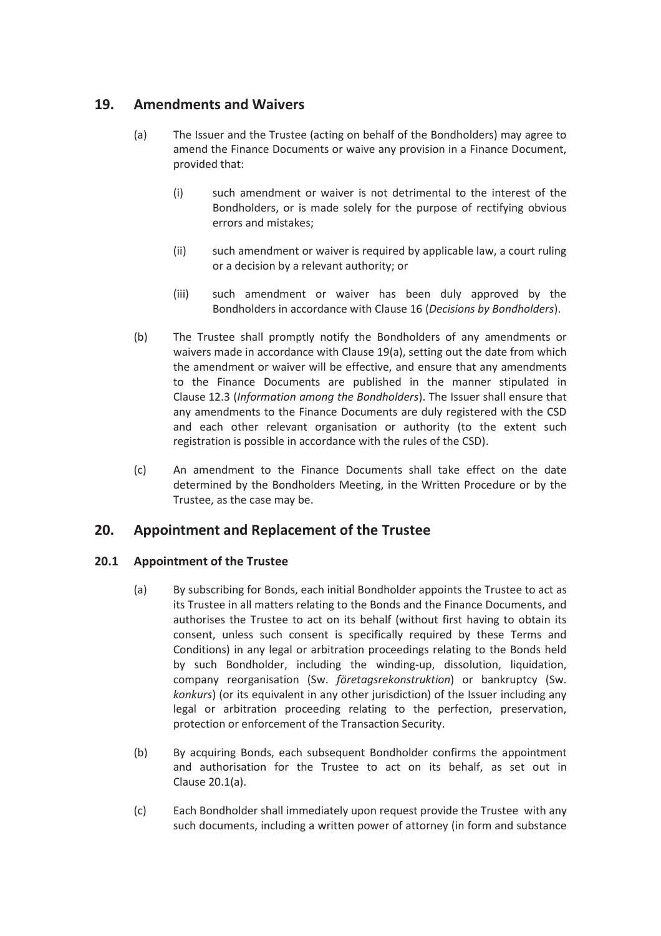# **19. Amendments and Waivers**

- (a) The Issuer and the Trustee (acting on behalf of the Bondholders) may agree to amend the Finance Documents or waive any provision in a Finance Document, provided that:
	- (i) such amendment or waiver is not detrimental to the interest of the Bondholders, or is made solely for the purpose of rectifying obvious errors and mistakes;
	- (ii) such amendment or waiver is required by applicable law, a court ruling or a decision by a relevant authority; or
	- (iii) such amendment or waiver has been duly approved by the Bondholders in accordance with Clause 16 (*Decisions by Bondholders*).
- (b) The Trustee shall promptly notify the Bondholders of any amendments or waivers made in accordance with Clause 19(a), setting out the date from which the amendment or waiver will be effective, and ensure that any amendments to the Finance Documents are published in the manner stipulated in Clause 12.3 (*Information among the Bondholders*). The Issuer shall ensure that any amendments to the Finance Documents are duly registered with the CSD and each other relevant organisation or authority (to the extent such registration is possible in accordance with the rules of the CSD).
- (c) An amendment to the Finance Documents shall take effect on the date determined by the Bondholders Meeting, in the Written Procedure or by the Trustee, as the case may be.

## **20. Appointment and Replacement of the Trustee**

#### **20.1 Appointment of the Trustee**

- (a) By subscribing for Bonds, each initial Bondholder appoints the Trustee to act as its Trustee in all matters relating to the Bonds and the Finance Documents, and authorises the Trustee to act on its behalf (without first having to obtain its consent, unless such consent is specifically required by these Terms and Conditions) in any legal or arbitration proceedings relating to the Bonds held by such Bondholder, including the winding-up, dissolution, liquidation, company reorganisation (Sw. *företagsrekonstruktion*) or bankruptcy (Sw. *konkurs*) (or its equivalent in any other jurisdiction) of the Issuer including any legal or arbitration proceeding relating to the perfection, preservation, protection or enforcement of the Transaction Security.
- (b) By acquiring Bonds, each subsequent Bondholder confirms the appointment and authorisation for the Trustee to act on its behalf, as set out in Clause 20.1(a).
- (c) Each Bondholder shall immediately upon request provide the Trustee with any such documents, including a written power of attorney (in form and substance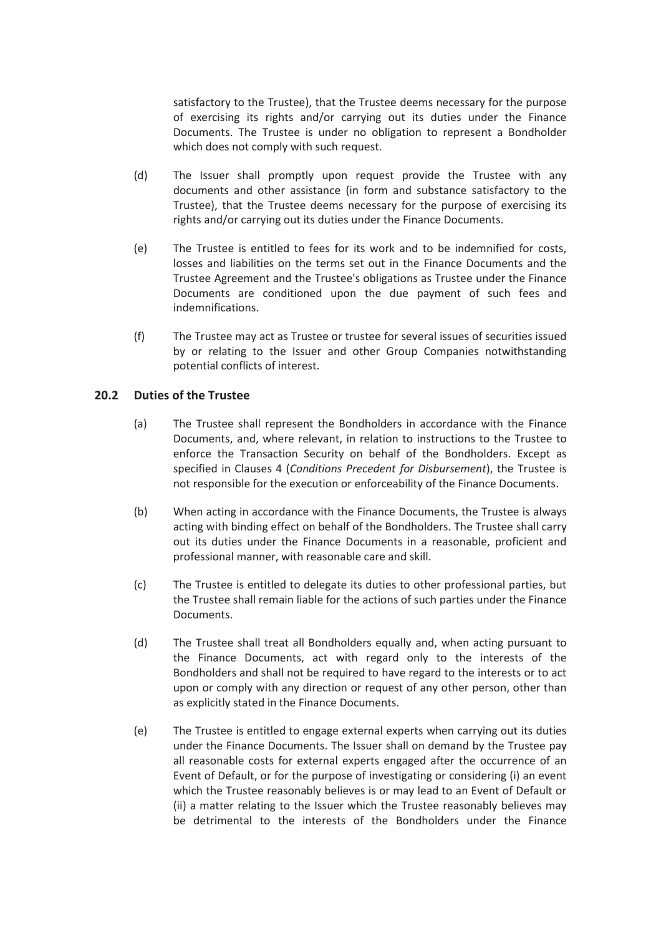satisfactory to the Trustee), that the Trustee deems necessary for the purpose of exercising its rights and/or carrying out its duties under the Finance Documents. The Trustee is under no obligation to represent a Bondholder which does not comply with such request.

- (d) The Issuer shall promptly upon request provide the Trustee with any documents and other assistance (in form and substance satisfactory to the Trustee), that the Trustee deems necessary for the purpose of exercising its rights and/or carrying out its duties under the Finance Documents.
- (e) The Trustee is entitled to fees for its work and to be indemnified for costs, losses and liabilities on the terms set out in the Finance Documents and the Trustee Agreement and the Trustee's obligations as Trustee under the Finance Documents are conditioned upon the due payment of such fees and indemnifications.
- (f) The Trustee may act as Trustee or trustee for several issues of securities issued by or relating to the Issuer and other Group Companies notwithstanding potential conflicts of interest.

#### **20.2 Duties of the Trustee**

- (a) The Trustee shall represent the Bondholders in accordance with the Finance Documents, and, where relevant, in relation to instructions to the Trustee to enforce the Transaction Security on behalf of the Bondholders. Except as specified in Clauses 4 (*Conditions Precedent for Disbursement*), the Trustee is not responsible for the execution or enforceability of the Finance Documents.
- (b) When acting in accordance with the Finance Documents, the Trustee is always acting with binding effect on behalf of the Bondholders. The Trustee shall carry out its duties under the Finance Documents in a reasonable, proficient and professional manner, with reasonable care and skill.
- (c) The Trustee is entitled to delegate its duties to other professional parties, but the Trustee shall remain liable for the actions of such parties under the Finance Documents.
- (d) The Trustee shall treat all Bondholders equally and, when acting pursuant to the Finance Documents, act with regard only to the interests of the Bondholders and shall not be required to have regard to the interests or to act upon or comply with any direction or request of any other person, other than as explicitly stated in the Finance Documents.
- (e) The Trustee is entitled to engage external experts when carrying out its duties under the Finance Documents. The Issuer shall on demand by the Trustee pay all reasonable costs for external experts engaged after the occurrence of an Event of Default, or for the purpose of investigating or considering (i) an event which the Trustee reasonably believes is or may lead to an Event of Default or (ii) a matter relating to the Issuer which the Trustee reasonably believes may be detrimental to the interests of the Bondholders under the Finance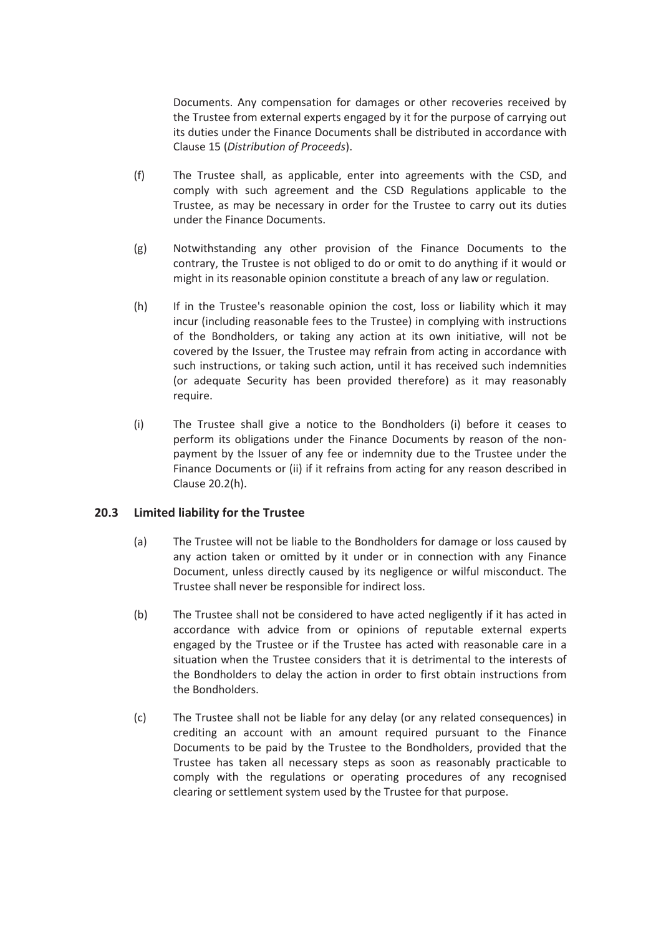Documents. Any compensation for damages or other recoveries received by the Trustee from external experts engaged by it for the purpose of carrying out its duties under the Finance Documents shall be distributed in accordance with Clause 15 (*Distribution of Proceeds*).

- (f) The Trustee shall, as applicable, enter into agreements with the CSD, and comply with such agreement and the CSD Regulations applicable to the Trustee, as may be necessary in order for the Trustee to carry out its duties under the Finance Documents.
- (g) Notwithstanding any other provision of the Finance Documents to the contrary, the Trustee is not obliged to do or omit to do anything if it would or might in its reasonable opinion constitute a breach of any law or regulation.
- (h) If in the Trustee's reasonable opinion the cost, loss or liability which it may incur (including reasonable fees to the Trustee) in complying with instructions of the Bondholders, or taking any action at its own initiative, will not be covered by the Issuer, the Trustee may refrain from acting in accordance with such instructions, or taking such action, until it has received such indemnities (or adequate Security has been provided therefore) as it may reasonably require.
- (i) The Trustee shall give a notice to the Bondholders (i) before it ceases to perform its obligations under the Finance Documents by reason of the nonpayment by the Issuer of any fee or indemnity due to the Trustee under the Finance Documents or (ii) if it refrains from acting for any reason described in Clause 20.2(h).

#### **20.3 Limited liability for the Trustee**

- (a) The Trustee will not be liable to the Bondholders for damage or loss caused by any action taken or omitted by it under or in connection with any Finance Document, unless directly caused by its negligence or wilful misconduct. The Trustee shall never be responsible for indirect loss.
- (b) The Trustee shall not be considered to have acted negligently if it has acted in accordance with advice from or opinions of reputable external experts engaged by the Trustee or if the Trustee has acted with reasonable care in a situation when the Trustee considers that it is detrimental to the interests of the Bondholders to delay the action in order to first obtain instructions from the Bondholders.
- (c) The Trustee shall not be liable for any delay (or any related consequences) in crediting an account with an amount required pursuant to the Finance Documents to be paid by the Trustee to the Bondholders, provided that the Trustee has taken all necessary steps as soon as reasonably practicable to comply with the regulations or operating procedures of any recognised clearing or settlement system used by the Trustee for that purpose.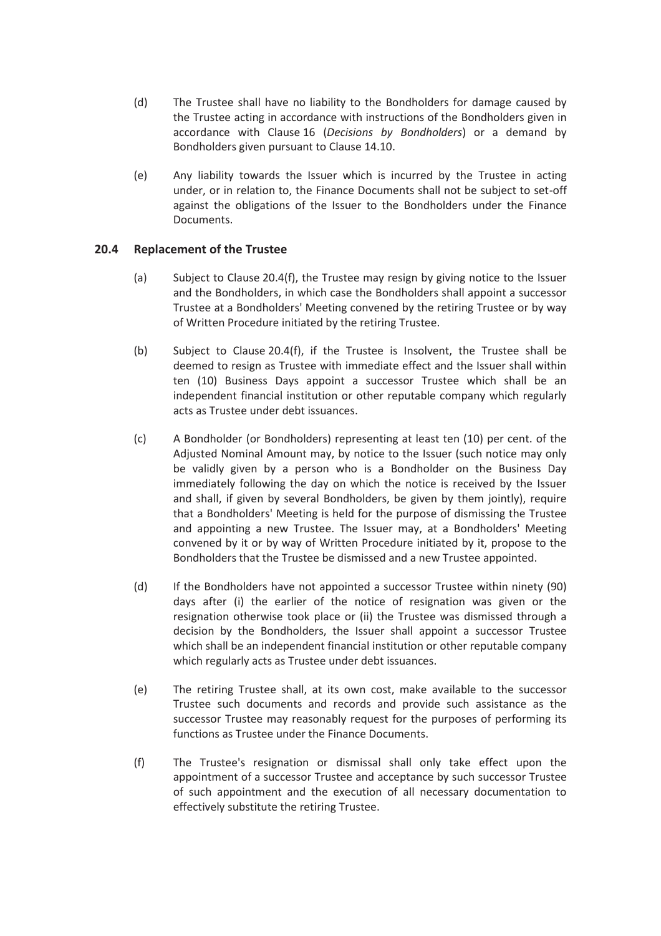- (d) The Trustee shall have no liability to the Bondholders for damage caused by the Trustee acting in accordance with instructions of the Bondholders given in accordance with Clause 16 (*Decisions by Bondholders*) or a demand by Bondholders given pursuant to Clause 14.10.
- (e) Any liability towards the Issuer which is incurred by the Trustee in acting under, or in relation to, the Finance Documents shall not be subject to set-off against the obligations of the Issuer to the Bondholders under the Finance Documents.

#### **20.4 Replacement of the Trustee**

- (a) Subject to Clause 20.4(f), the Trustee may resign by giving notice to the Issuer and the Bondholders, in which case the Bondholders shall appoint a successor Trustee at a Bondholders' Meeting convened by the retiring Trustee or by way of Written Procedure initiated by the retiring Trustee.
- (b) Subject to Clause 20.4(f), if the Trustee is Insolvent, the Trustee shall be deemed to resign as Trustee with immediate effect and the Issuer shall within ten (10) Business Days appoint a successor Trustee which shall be an independent financial institution or other reputable company which regularly acts as Trustee under debt issuances.
- (c) A Bondholder (or Bondholders) representing at least ten (10) per cent. of the Adjusted Nominal Amount may, by notice to the Issuer (such notice may only be validly given by a person who is a Bondholder on the Business Day immediately following the day on which the notice is received by the Issuer and shall, if given by several Bondholders, be given by them jointly), require that a Bondholders' Meeting is held for the purpose of dismissing the Trustee and appointing a new Trustee. The Issuer may, at a Bondholders' Meeting convened by it or by way of Written Procedure initiated by it, propose to the Bondholders that the Trustee be dismissed and a new Trustee appointed.
- (d) If the Bondholders have not appointed a successor Trustee within ninety (90) days after (i) the earlier of the notice of resignation was given or the resignation otherwise took place or (ii) the Trustee was dismissed through a decision by the Bondholders, the Issuer shall appoint a successor Trustee which shall be an independent financial institution or other reputable company which regularly acts as Trustee under debt issuances.
- (e) The retiring Trustee shall, at its own cost, make available to the successor Trustee such documents and records and provide such assistance as the successor Trustee may reasonably request for the purposes of performing its functions as Trustee under the Finance Documents.
- (f) The Trustee's resignation or dismissal shall only take effect upon the appointment of a successor Trustee and acceptance by such successor Trustee of such appointment and the execution of all necessary documentation to effectively substitute the retiring Trustee.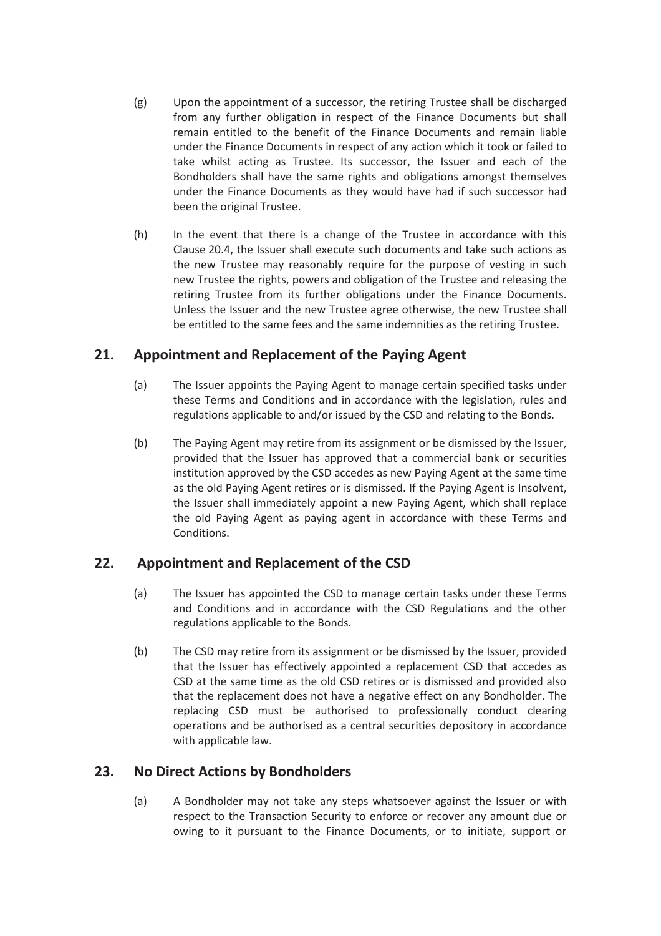- (g) Upon the appointment of a successor, the retiring Trustee shall be discharged from any further obligation in respect of the Finance Documents but shall remain entitled to the benefit of the Finance Documents and remain liable under the Finance Documents in respect of any action which it took or failed to take whilst acting as Trustee. Its successor, the Issuer and each of the Bondholders shall have the same rights and obligations amongst themselves under the Finance Documents as they would have had if such successor had been the original Trustee.
- (h) In the event that there is a change of the Trustee in accordance with this Clause 20.4, the Issuer shall execute such documents and take such actions as the new Trustee may reasonably require for the purpose of vesting in such new Trustee the rights, powers and obligation of the Trustee and releasing the retiring Trustee from its further obligations under the Finance Documents. Unless the Issuer and the new Trustee agree otherwise, the new Trustee shall be entitled to the same fees and the same indemnities as the retiring Trustee.

# **21. Appointment and Replacement of the Paying Agent**

- (a) The Issuer appoints the Paying Agent to manage certain specified tasks under these Terms and Conditions and in accordance with the legislation, rules and regulations applicable to and/or issued by the CSD and relating to the Bonds.
- (b) The Paying Agent may retire from its assignment or be dismissed by the Issuer, provided that the Issuer has approved that a commercial bank or securities institution approved by the CSD accedes as new Paying Agent at the same time as the old Paying Agent retires or is dismissed. If the Paying Agent is Insolvent, the Issuer shall immediately appoint a new Paying Agent, which shall replace the old Paying Agent as paying agent in accordance with these Terms and Conditions.

# **22. Appointment and Replacement of the CSD**

- (a) The Issuer has appointed the CSD to manage certain tasks under these Terms and Conditions and in accordance with the CSD Regulations and the other regulations applicable to the Bonds.
- (b) The CSD may retire from its assignment or be dismissed by the Issuer, provided that the Issuer has effectively appointed a replacement CSD that accedes as CSD at the same time as the old CSD retires or is dismissed and provided also that the replacement does not have a negative effect on any Bondholder. The replacing CSD must be authorised to professionally conduct clearing operations and be authorised as a central securities depository in accordance with applicable law.

# **23. No Direct Actions by Bondholders**

(a) A Bondholder may not take any steps whatsoever against the Issuer or with respect to the Transaction Security to enforce or recover any amount due or owing to it pursuant to the Finance Documents, or to initiate, support or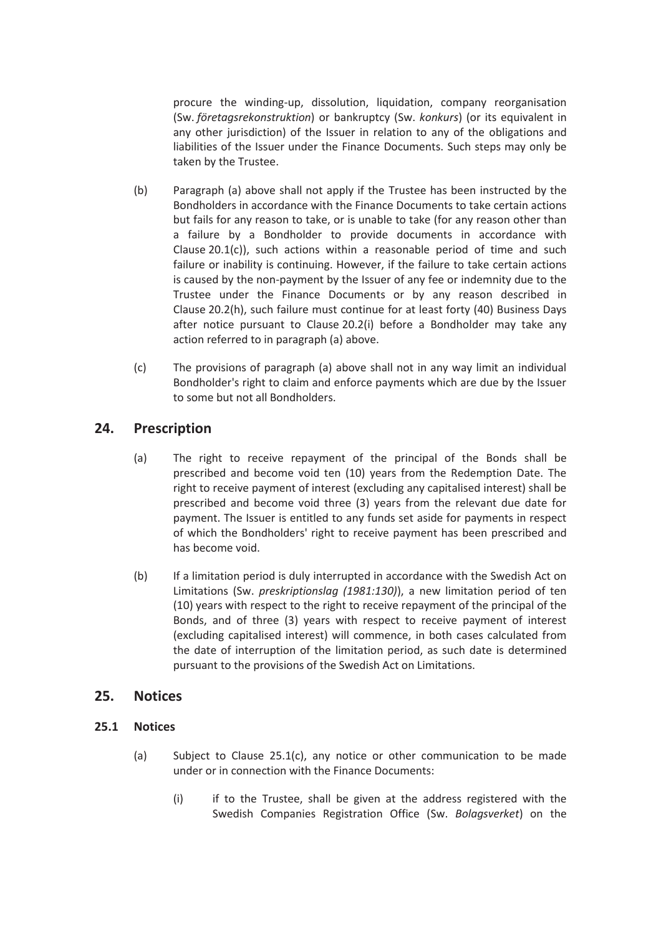procure the winding-up, dissolution, liquidation, company reorganisation (Sw. *företagsrekonstruktion*) or bankruptcy (Sw. *konkurs*) (or its equivalent in any other jurisdiction) of the Issuer in relation to any of the obligations and liabilities of the Issuer under the Finance Documents. Such steps may only be taken by the Trustee.

- (b) Paragraph (a) above shall not apply if the Trustee has been instructed by the Bondholders in accordance with the Finance Documents to take certain actions but fails for any reason to take, or is unable to take (for any reason other than a failure by a Bondholder to provide documents in accordance with Clause 20.1(c)), such actions within a reasonable period of time and such failure or inability is continuing. However, if the failure to take certain actions is caused by the non-payment by the Issuer of any fee or indemnity due to the Trustee under the Finance Documents or by any reason described in Clause 20.2(h), such failure must continue for at least forty (40) Business Days after notice pursuant to Clause 20.2(i) before a Bondholder may take any action referred to in paragraph (a) above.
- (c) The provisions of paragraph (a) above shall not in any way limit an individual Bondholder's right to claim and enforce payments which are due by the Issuer to some but not all Bondholders.

# **24. Prescription**

- (a) The right to receive repayment of the principal of the Bonds shall be prescribed and become void ten (10) years from the Redemption Date. The right to receive payment of interest (excluding any capitalised interest) shall be prescribed and become void three (3) years from the relevant due date for payment. The Issuer is entitled to any funds set aside for payments in respect of which the Bondholders' right to receive payment has been prescribed and has become void.
- (b) If a limitation period is duly interrupted in accordance with the Swedish Act on Limitations (Sw. *preskriptionslag (1981:130)*), a new limitation period of ten (10) years with respect to the right to receive repayment of the principal of the Bonds, and of three (3) years with respect to receive payment of interest (excluding capitalised interest) will commence, in both cases calculated from the date of interruption of the limitation period, as such date is determined pursuant to the provisions of the Swedish Act on Limitations.

#### **25. Notices**

#### **25.1 Notices**

- (a) Subject to Clause 25.1(c), any notice or other communication to be made under or in connection with the Finance Documents:
	- (i) if to the Trustee, shall be given at the address registered with the Swedish Companies Registration Office (Sw. *Bolagsverket*) on the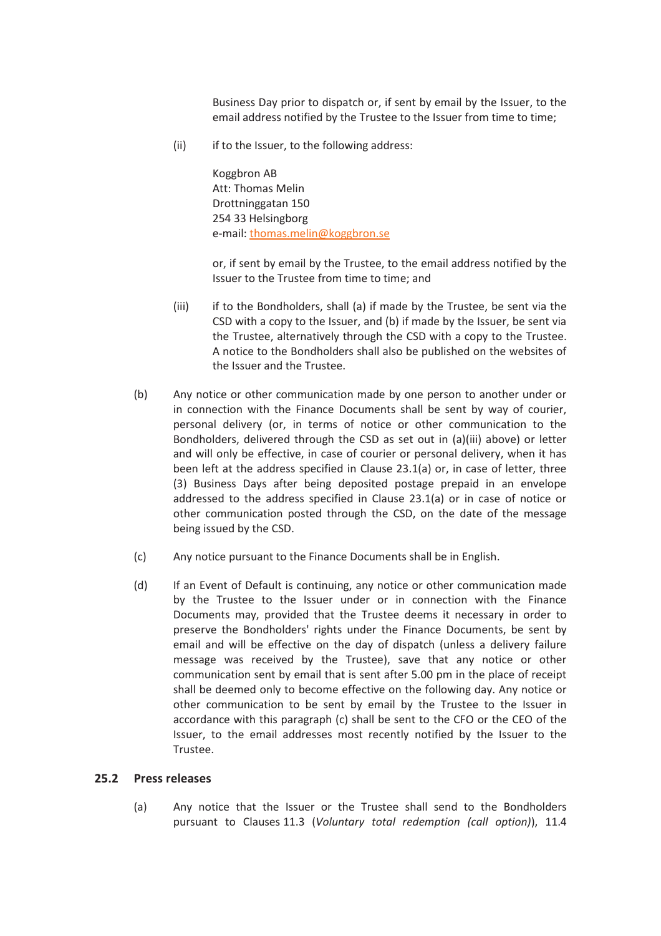Business Day prior to dispatch or, if sent by email by the Issuer, to the email address notified by the Trustee to the Issuer from time to time;

(ii) if to the Issuer, to the following address:

Koggbron AB Att: Thomas Melin Drottninggatan 150 254 33 Helsingborg e-mail: thomas.melin@koggbron.se

or, if sent by email by the Trustee, to the email address notified by the Issuer to the Trustee from time to time; and

- (iii) if to the Bondholders, shall (a) if made by the Trustee, be sent via the CSD with a copy to the Issuer, and (b) if made by the Issuer, be sent via the Trustee, alternatively through the CSD with a copy to the Trustee. A notice to the Bondholders shall also be published on the websites of the Issuer and the Trustee.
- (b) Any notice or other communication made by one person to another under or in connection with the Finance Documents shall be sent by way of courier, personal delivery (or, in terms of notice or other communication to the Bondholders, delivered through the CSD as set out in (a)(iii) above) or letter and will only be effective, in case of courier or personal delivery, when it has been left at the address specified in Clause 23.1(a) or, in case of letter, three (3) Business Days after being deposited postage prepaid in an envelope addressed to the address specified in Clause 23.1(a) or in case of notice or other communication posted through the CSD, on the date of the message being issued by the CSD.
- (c) Any notice pursuant to the Finance Documents shall be in English.
- (d) If an Event of Default is continuing, any notice or other communication made by the Trustee to the Issuer under or in connection with the Finance Documents may, provided that the Trustee deems it necessary in order to preserve the Bondholders' rights under the Finance Documents, be sent by email and will be effective on the day of dispatch (unless a delivery failure message was received by the Trustee), save that any notice or other communication sent by email that is sent after 5.00 pm in the place of receipt shall be deemed only to become effective on the following day. Any notice or other communication to be sent by email by the Trustee to the Issuer in accordance with this paragraph (c) shall be sent to the CFO or the CEO of the Issuer, to the email addresses most recently notified by the Issuer to the Trustee.

#### **25.2 Press releases**

(a) Any notice that the Issuer or the Trustee shall send to the Bondholders pursuant to Clauses 11.3 (*Voluntary total redemption (call option)*), 11.4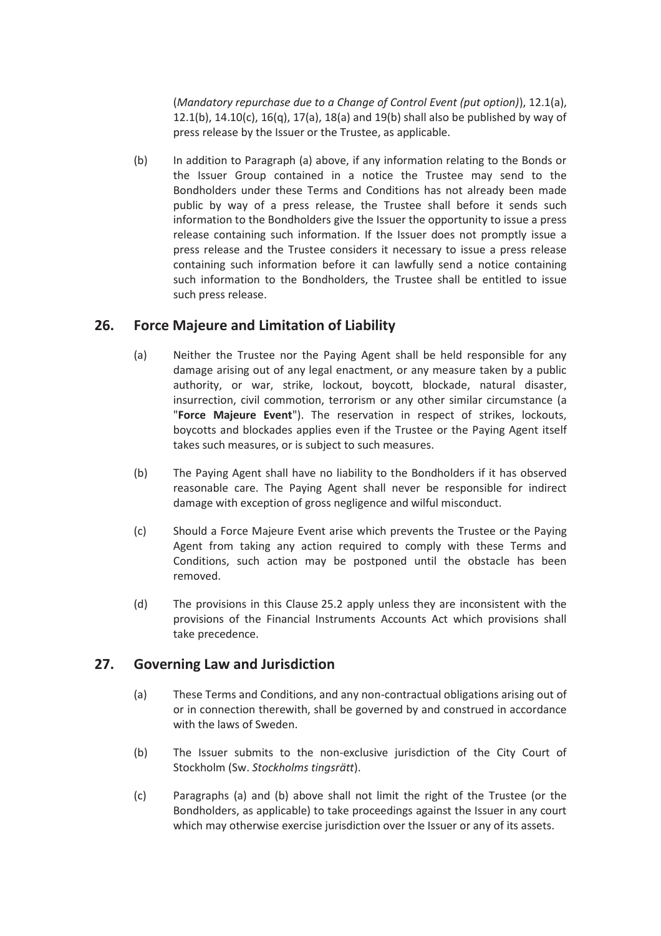(*Mandatory repurchase due to a Change of Control Event (put option)*), 12.1(a), 12.1(b), 14.10(c), 16(q), 17(a), 18(a) and 19(b) shall also be published by way of press release by the Issuer or the Trustee, as applicable.

(b) In addition to Paragraph (a) above, if any information relating to the Bonds or the Issuer Group contained in a notice the Trustee may send to the Bondholders under these Terms and Conditions has not already been made public by way of a press release, the Trustee shall before it sends such information to the Bondholders give the Issuer the opportunity to issue a press release containing such information. If the Issuer does not promptly issue a press release and the Trustee considers it necessary to issue a press release containing such information before it can lawfully send a notice containing such information to the Bondholders, the Trustee shall be entitled to issue such press release.

# **26. Force Majeure and Limitation of Liability**

- (a) Neither the Trustee nor the Paying Agent shall be held responsible for any damage arising out of any legal enactment, or any measure taken by a public authority, or war, strike, lockout, boycott, blockade, natural disaster, insurrection, civil commotion, terrorism or any other similar circumstance (a "**Force Majeure Event**"). The reservation in respect of strikes, lockouts, boycotts and blockades applies even if the Trustee or the Paying Agent itself takes such measures, or is subject to such measures.
- (b) The Paying Agent shall have no liability to the Bondholders if it has observed reasonable care. The Paying Agent shall never be responsible for indirect damage with exception of gross negligence and wilful misconduct.
- (c) Should a Force Majeure Event arise which prevents the Trustee or the Paying Agent from taking any action required to comply with these Terms and Conditions, such action may be postponed until the obstacle has been removed.
- (d) The provisions in this Clause 25.2 apply unless they are inconsistent with the provisions of the Financial Instruments Accounts Act which provisions shall take precedence.

## **27. Governing Law and Jurisdiction**

- (a) These Terms and Conditions, and any non-contractual obligations arising out of or in connection therewith, shall be governed by and construed in accordance with the laws of Sweden.
- (b) The Issuer submits to the non-exclusive jurisdiction of the City Court of Stockholm (Sw. *Stockholms tingsrätt*).
- (c) Paragraphs (a) and (b) above shall not limit the right of the Trustee (or the Bondholders, as applicable) to take proceedings against the Issuer in any court which may otherwise exercise jurisdiction over the Issuer or any of its assets.